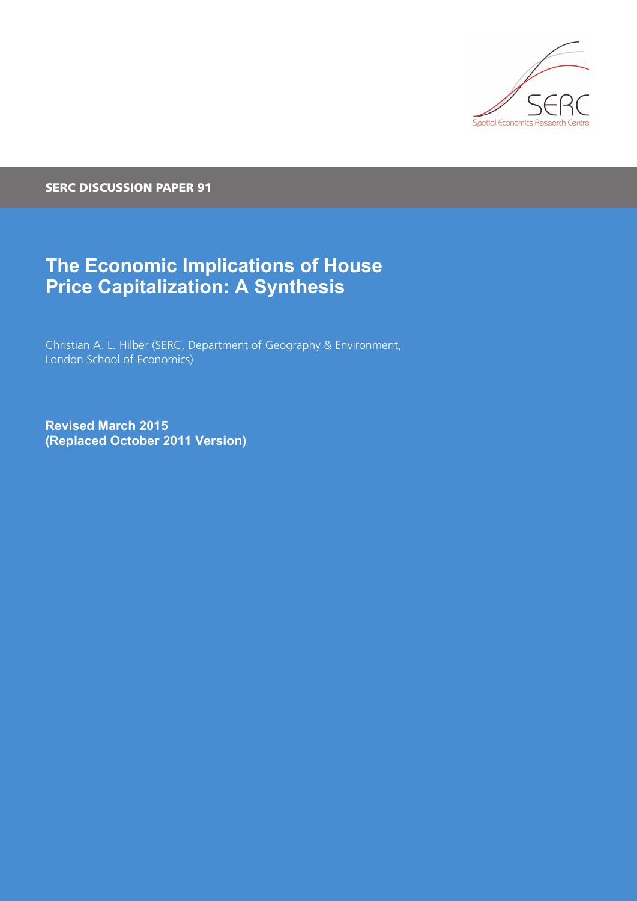

**SERC DISCUSSION PAPER 91**

# **The Economic Implications of House Price Capitalization: A Synthesis**

Christian A. L. Hilber (SERC, Department of Geography & Environment, London School of Economics)

**Revised March 2015 (Replaced October 2011 Version)**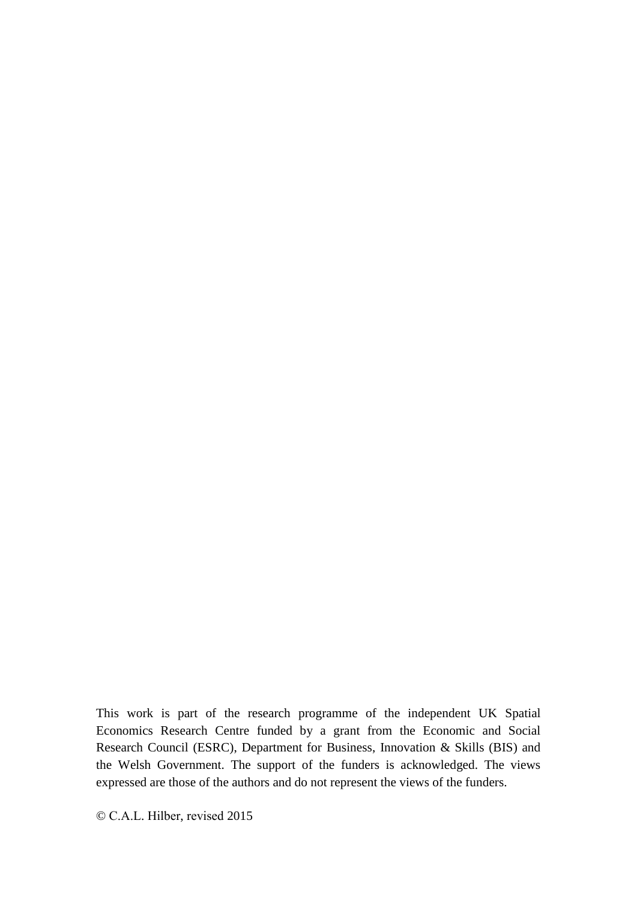This work is part of the research programme of the independent UK Spatial Economics Research Centre funded by a grant from the Economic and Social Research Council (ESRC), Department for Business, Innovation & Skills (BIS) and the Welsh Government. The support of the funders is acknowledged. The views expressed are those of the authors and do not represent the views of the funders.

© C.A.L. Hilber, revised 2015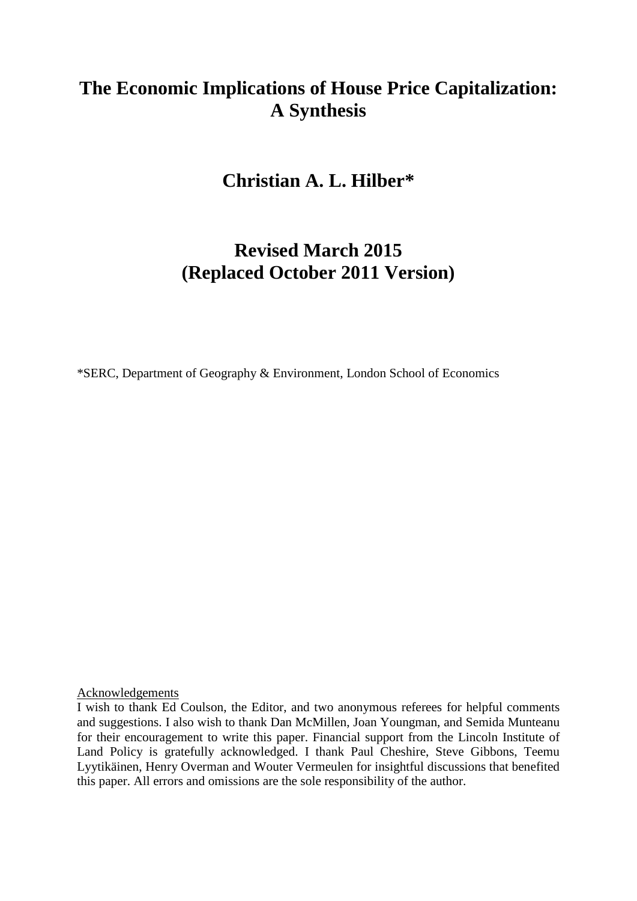## **The Economic Implications of House Price Capitalization: A Synthesis**

**Christian A. L. Hilber\***

# **Revised March 2015 (Replaced October 2011 Version)**

\*SERC, Department of Geography & Environment, London School of Economics

Acknowledgements

I wish to thank Ed Coulson, the Editor, and two anonymous referees for helpful comments and suggestions. I also wish to thank Dan McMillen, Joan Youngman, and Semida Munteanu for their encouragement to write this paper. Financial support from the Lincoln Institute of Land Policy is gratefully acknowledged. I thank Paul Cheshire, Steve Gibbons, Teemu Lyytikäinen, Henry Overman and Wouter Vermeulen for insightful discussions that benefited this paper. All errors and omissions are the sole responsibility of the author.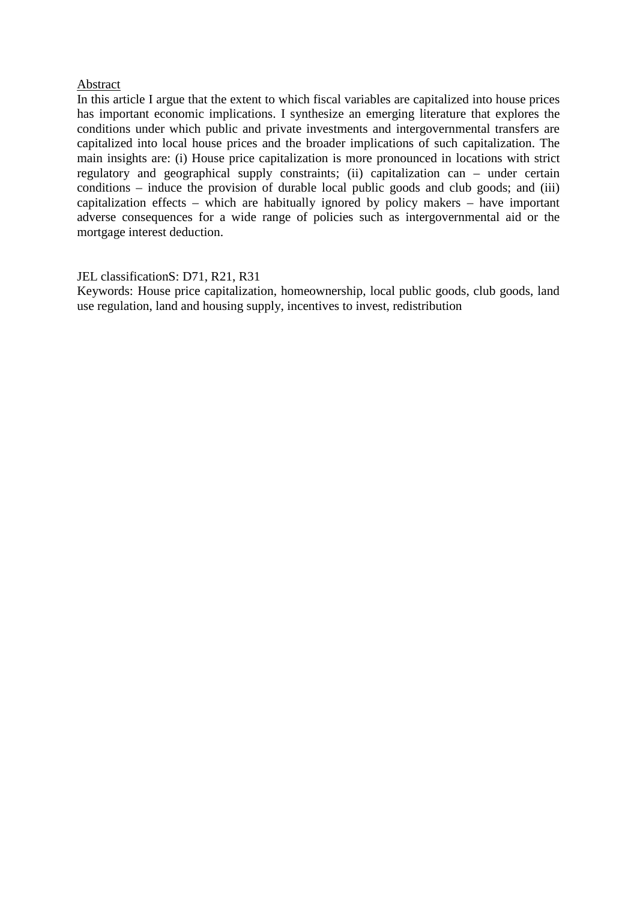#### Abstract

In this article I argue that the extent to which fiscal variables are capitalized into house prices has important economic implications. I synthesize an emerging literature that explores the conditions under which public and private investments and intergovernmental transfers are capitalized into local house prices and the broader implications of such capitalization. The main insights are: (i) House price capitalization is more pronounced in locations with strict regulatory and geographical supply constraints; (ii) capitalization can – under certain conditions – induce the provision of durable local public goods and club goods; and (iii) capitalization effects – which are habitually ignored by policy makers – have important adverse consequences for a wide range of policies such as intergovernmental aid or the mortgage interest deduction.

JEL classificationS: D71, R21, R31

Keywords: House price capitalization, homeownership, local public goods, club goods, land use regulation, land and housing supply, incentives to invest, redistribution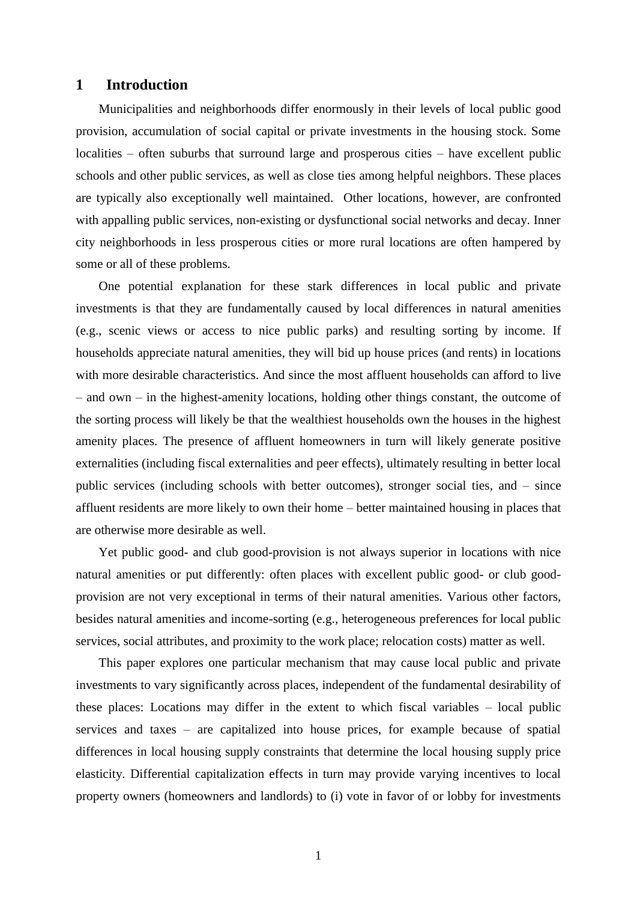#### **1 Introduction**

Municipalities and neighborhoods differ enormously in their levels of local public good provision, accumulation of social capital or private investments in the housing stock. Some localities – often suburbs that surround large and prosperous cities – have excellent public schools and other public services, as well as close ties among helpful neighbors. These places are typically also exceptionally well maintained. Other locations, however, are confronted with appalling public services, non-existing or dysfunctional social networks and decay. Inner city neighborhoods in less prosperous cities or more rural locations are often hampered by some or all of these problems.

One potential explanation for these stark differences in local public and private investments is that they are fundamentally caused by local differences in natural amenities (e.g., scenic views or access to nice public parks) and resulting sorting by income. If households appreciate natural amenities, they will bid up house prices (and rents) in locations with more desirable characteristics. And since the most affluent households can afford to live – and own – in the highest-amenity locations, holding other things constant, the outcome of the sorting process will likely be that the wealthiest households own the houses in the highest amenity places. The presence of affluent homeowners in turn will likely generate positive externalities (including fiscal externalities and peer effects), ultimately resulting in better local public services (including schools with better outcomes), stronger social ties, and – since affluent residents are more likely to own their home – better maintained housing in places that are otherwise more desirable as well.

Yet public good- and club good-provision is not always superior in locations with nice natural amenities or put differently: often places with excellent public good- or club goodprovision are not very exceptional in terms of their natural amenities. Various other factors, besides natural amenities and income-sorting (e.g., heterogeneous preferences for local public services, social attributes, and proximity to the work place; relocation costs) matter as well.

This paper explores one particular mechanism that may cause local public and private investments to vary significantly across places, independent of the fundamental desirability of these places: Locations may differ in the extent to which fiscal variables – local public services and taxes – are capitalized into house prices, for example because of spatial differences in local housing supply constraints that determine the local housing supply price elasticity. Differential capitalization effects in turn may provide varying incentives to local property owners (homeowners and landlords) to (i) vote in favor of or lobby for investments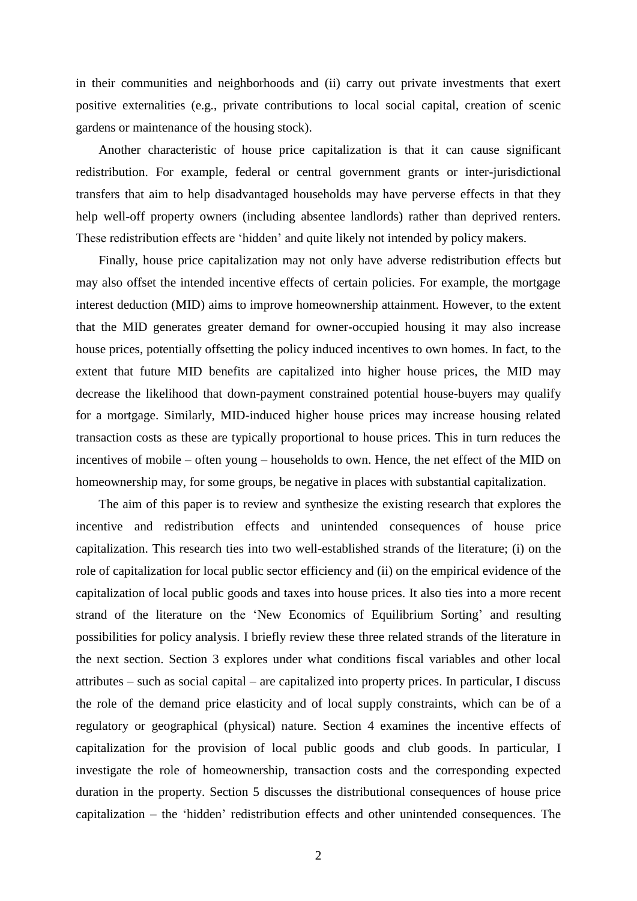in their communities and neighborhoods and (ii) carry out private investments that exert positive externalities (e.g., private contributions to local social capital, creation of scenic gardens or maintenance of the housing stock).

Another characteristic of house price capitalization is that it can cause significant redistribution. For example, federal or central government grants or inter-jurisdictional transfers that aim to help disadvantaged households may have perverse effects in that they help well-off property owners (including absentee landlords) rather than deprived renters. These redistribution effects are 'hidden' and quite likely not intended by policy makers.

Finally, house price capitalization may not only have adverse redistribution effects but may also offset the intended incentive effects of certain policies. For example, the mortgage interest deduction (MID) aims to improve homeownership attainment. However, to the extent that the MID generates greater demand for owner-occupied housing it may also increase house prices, potentially offsetting the policy induced incentives to own homes. In fact, to the extent that future MID benefits are capitalized into higher house prices, the MID may decrease the likelihood that down-payment constrained potential house-buyers may qualify for a mortgage. Similarly, MID-induced higher house prices may increase housing related transaction costs as these are typically proportional to house prices. This in turn reduces the incentives of mobile – often young – households to own. Hence, the net effect of the MID on homeownership may, for some groups, be negative in places with substantial capitalization.

The aim of this paper is to review and synthesize the existing research that explores the incentive and redistribution effects and unintended consequences of house price capitalization. This research ties into two well-established strands of the literature; (i) on the role of capitalization for local public sector efficiency and (ii) on the empirical evidence of the capitalization of local public goods and taxes into house prices. It also ties into a more recent strand of the literature on the 'New Economics of Equilibrium Sorting' and resulting possibilities for policy analysis. I briefly review these three related strands of the literature in the next section. Section 3 explores under what conditions fiscal variables and other local attributes – such as social capital – are capitalized into property prices. In particular, I discuss the role of the demand price elasticity and of local supply constraints, which can be of a regulatory or geographical (physical) nature. Section 4 examines the incentive effects of capitalization for the provision of local public goods and club goods. In particular, I investigate the role of homeownership, transaction costs and the corresponding expected duration in the property. Section 5 discusses the distributional consequences of house price capitalization – the 'hidden' redistribution effects and other unintended consequences. The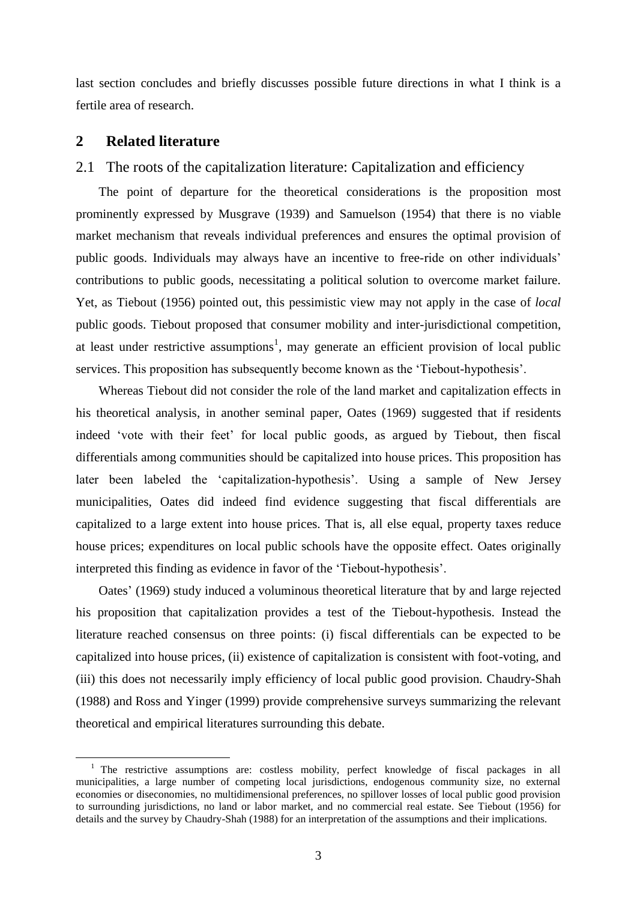last section concludes and briefly discusses possible future directions in what I think is a fertile area of research.

#### **2 Related literature**

#### 2.1 The roots of the capitalization literature: Capitalization and efficiency

The point of departure for the theoretical considerations is the proposition most prominently expressed by Musgrave (1939) and Samuelson (1954) that there is no viable market mechanism that reveals individual preferences and ensures the optimal provision of public goods. Individuals may always have an incentive to free-ride on other individuals' contributions to public goods, necessitating a political solution to overcome market failure. Yet, as Tiebout (1956) pointed out, this pessimistic view may not apply in the case of *local* public goods. Tiebout proposed that consumer mobility and inter-jurisdictional competition, at least under restrictive assumptions<sup>1</sup>, may generate an efficient provision of local public services. This proposition has subsequently become known as the 'Tiebout-hypothesis'.

Whereas Tiebout did not consider the role of the land market and capitalization effects in his theoretical analysis, in another seminal paper, Oates (1969) suggested that if residents indeed 'vote with their feet' for local public goods, as argued by Tiebout, then fiscal differentials among communities should be capitalized into house prices. This proposition has later been labeled the 'capitalization-hypothesis'. Using a sample of New Jersey municipalities, Oates did indeed find evidence suggesting that fiscal differentials are capitalized to a large extent into house prices. That is, all else equal, property taxes reduce house prices; expenditures on local public schools have the opposite effect. Oates originally interpreted this finding as evidence in favor of the 'Tiebout-hypothesis'.

Oates' (1969) study induced a voluminous theoretical literature that by and large rejected his proposition that capitalization provides a test of the Tiebout-hypothesis. Instead the literature reached consensus on three points: (i) fiscal differentials can be expected to be capitalized into house prices, (ii) existence of capitalization is consistent with foot-voting, and (iii) this does not necessarily imply efficiency of local public good provision. Chaudry-Shah (1988) and Ross and Yinger (1999) provide comprehensive surveys summarizing the relevant theoretical and empirical literatures surrounding this debate.

<sup>&</sup>lt;sup>1</sup> The restrictive assumptions are: costless mobility, perfect knowledge of fiscal packages in all municipalities, a large number of competing local jurisdictions, endogenous community size, no external economies or diseconomies, no multidimensional preferences, no spillover losses of local public good provision to surrounding jurisdictions, no land or labor market, and no commercial real estate. See Tiebout (1956) for details and the survey by Chaudry-Shah (1988) for an interpretation of the assumptions and their implications.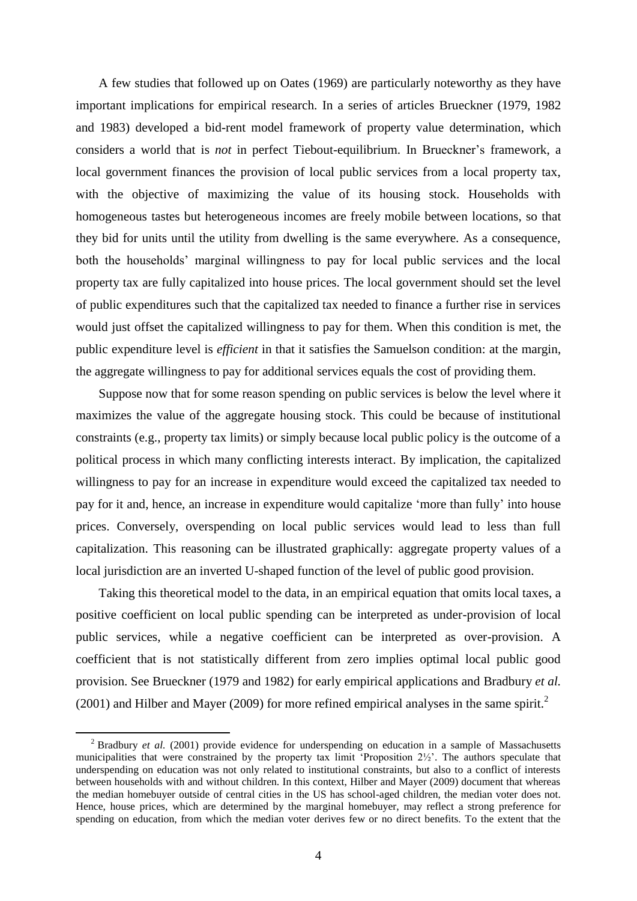A few studies that followed up on Oates (1969) are particularly noteworthy as they have important implications for empirical research. In a series of articles Brueckner (1979, 1982 and 1983) developed a bid-rent model framework of property value determination, which considers a world that is *not* in perfect Tiebout-equilibrium. In Brueckner's framework, a local government finances the provision of local public services from a local property tax, with the objective of maximizing the value of its housing stock. Households with homogeneous tastes but heterogeneous incomes are freely mobile between locations, so that they bid for units until the utility from dwelling is the same everywhere. As a consequence, both the households' marginal willingness to pay for local public services and the local property tax are fully capitalized into house prices. The local government should set the level of public expenditures such that the capitalized tax needed to finance a further rise in services would just offset the capitalized willingness to pay for them. When this condition is met, the public expenditure level is *efficient* in that it satisfies the Samuelson condition: at the margin, the aggregate willingness to pay for additional services equals the cost of providing them.

Suppose now that for some reason spending on public services is below the level where it maximizes the value of the aggregate housing stock. This could be because of institutional constraints (e.g., property tax limits) or simply because local public policy is the outcome of a political process in which many conflicting interests interact. By implication, the capitalized willingness to pay for an increase in expenditure would exceed the capitalized tax needed to pay for it and, hence, an increase in expenditure would capitalize 'more than fully' into house prices. Conversely, overspending on local public services would lead to less than full capitalization. This reasoning can be illustrated graphically: aggregate property values of a local jurisdiction are an inverted U-shaped function of the level of public good provision.

Taking this theoretical model to the data, in an empirical equation that omits local taxes, a positive coefficient on local public spending can be interpreted as under-provision of local public services, while a negative coefficient can be interpreted as over-provision. A coefficient that is not statistically different from zero implies optimal local public good provision. See Brueckner (1979 and 1982) for early empirical applications and Bradbury *et al.* (2001) and Hilber and Mayer (2009) for more refined empirical analyses in the same spirit.<sup>2</sup>

<sup>&</sup>lt;sup>2</sup> Bradbury *et al.* (2001) provide evidence for underspending on education in a sample of Massachusetts municipalities that were constrained by the property tax limit 'Proposition 2½'. The authors speculate that underspending on education was not only related to institutional constraints, but also to a conflict of interests between households with and without children. In this context, Hilber and Mayer (2009) document that whereas the median homebuyer outside of central cities in the US has school-aged children, the median voter does not. Hence, house prices, which are determined by the marginal homebuyer, may reflect a strong preference for spending on education, from which the median voter derives few or no direct benefits. To the extent that the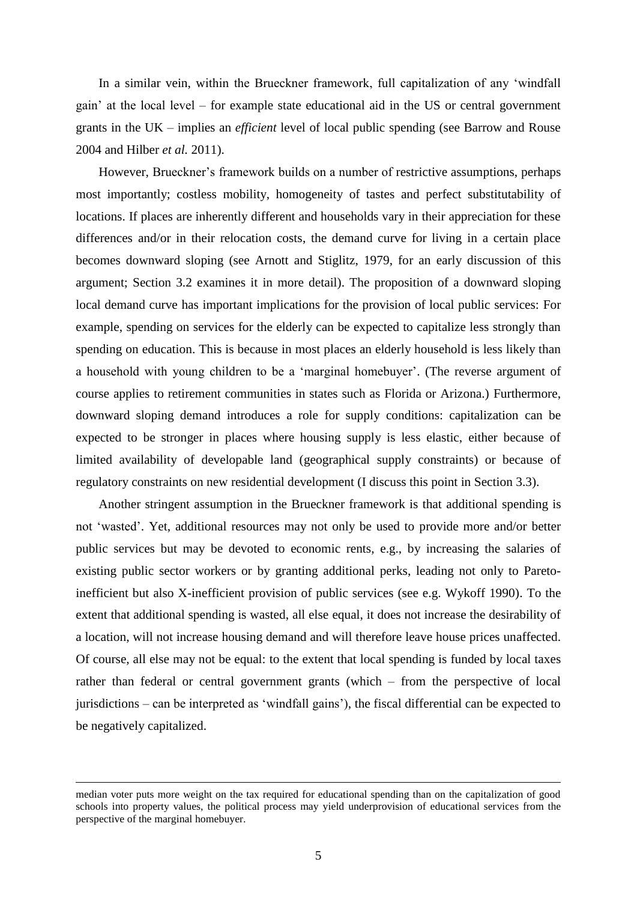In a similar vein, within the Brueckner framework, full capitalization of any 'windfall gain' at the local level – for example state educational aid in the US or central government grants in the UK – implies an *efficient* level of local public spending (see Barrow and Rouse 2004 and Hilber *et al.* 2011).

However, Brueckner's framework builds on a number of restrictive assumptions, perhaps most importantly; costless mobility, homogeneity of tastes and perfect substitutability of locations. If places are inherently different and households vary in their appreciation for these differences and/or in their relocation costs, the demand curve for living in a certain place becomes downward sloping (see Arnott and Stiglitz, 1979, for an early discussion of this argument; Section 3.2 examines it in more detail). The proposition of a downward sloping local demand curve has important implications for the provision of local public services: For example, spending on services for the elderly can be expected to capitalize less strongly than spending on education. This is because in most places an elderly household is less likely than a household with young children to be a 'marginal homebuyer'. (The reverse argument of course applies to retirement communities in states such as Florida or Arizona.) Furthermore, downward sloping demand introduces a role for supply conditions: capitalization can be expected to be stronger in places where housing supply is less elastic, either because of limited availability of developable land (geographical supply constraints) or because of regulatory constraints on new residential development (I discuss this point in Section 3.3).

Another stringent assumption in the Brueckner framework is that additional spending is not 'wasted'. Yet, additional resources may not only be used to provide more and/or better public services but may be devoted to economic rents, e.g., by increasing the salaries of existing public sector workers or by granting additional perks, leading not only to Paretoinefficient but also X-inefficient provision of public services (see e.g. Wykoff 1990). To the extent that additional spending is wasted, all else equal, it does not increase the desirability of a location, will not increase housing demand and will therefore leave house prices unaffected. Of course, all else may not be equal: to the extent that local spending is funded by local taxes rather than federal or central government grants (which – from the perspective of local jurisdictions – can be interpreted as 'windfall gains'), the fiscal differential can be expected to be negatively capitalized.

median voter puts more weight on the tax required for educational spending than on the capitalization of good schools into property values, the political process may yield underprovision of educational services from the perspective of the marginal homebuyer.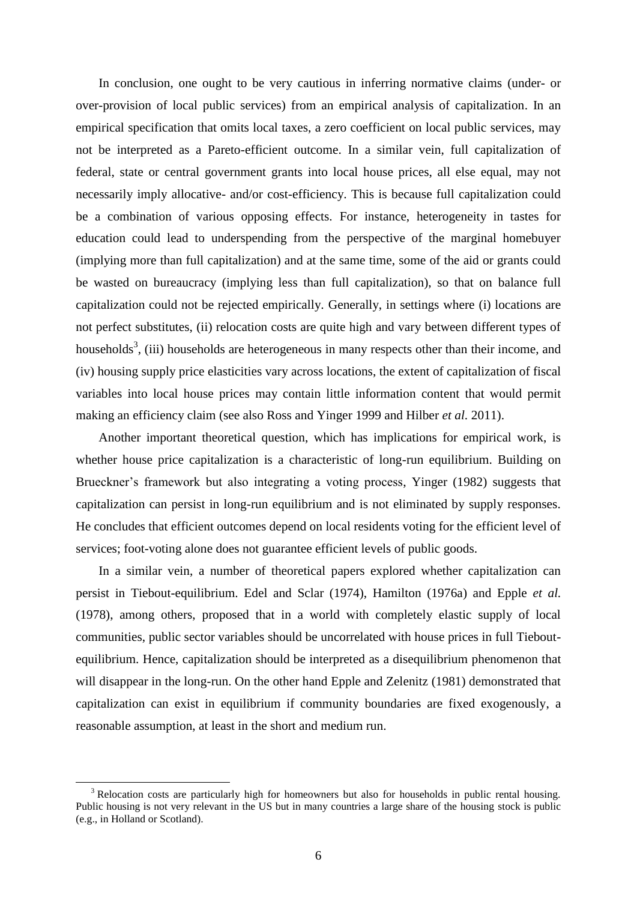In conclusion, one ought to be very cautious in inferring normative claims (under- or over-provision of local public services) from an empirical analysis of capitalization. In an empirical specification that omits local taxes, a zero coefficient on local public services, may not be interpreted as a Pareto-efficient outcome. In a similar vein, full capitalization of federal, state or central government grants into local house prices, all else equal, may not necessarily imply allocative- and/or cost-efficiency. This is because full capitalization could be a combination of various opposing effects. For instance, heterogeneity in tastes for education could lead to underspending from the perspective of the marginal homebuyer (implying more than full capitalization) and at the same time, some of the aid or grants could be wasted on bureaucracy (implying less than full capitalization), so that on balance full capitalization could not be rejected empirically. Generally, in settings where (i) locations are not perfect substitutes, (ii) relocation costs are quite high and vary between different types of households<sup>3</sup>, (iii) households are heterogeneous in many respects other than their income, and (iv) housing supply price elasticities vary across locations, the extent of capitalization of fiscal variables into local house prices may contain little information content that would permit making an efficiency claim (see also Ross and Yinger 1999 and Hilber *et al.* 2011).

Another important theoretical question, which has implications for empirical work, is whether house price capitalization is a characteristic of long-run equilibrium. Building on Brueckner's framework but also integrating a voting process, Yinger (1982) suggests that capitalization can persist in long-run equilibrium and is not eliminated by supply responses. He concludes that efficient outcomes depend on local residents voting for the efficient level of services; foot-voting alone does not guarantee efficient levels of public goods.

In a similar vein, a number of theoretical papers explored whether capitalization can persist in Tiebout-equilibrium. Edel and Sclar (1974), Hamilton (1976a) and Epple *et al.* (1978), among others, proposed that in a world with completely elastic supply of local communities, public sector variables should be uncorrelated with house prices in full Tieboutequilibrium. Hence, capitalization should be interpreted as a disequilibrium phenomenon that will disappear in the long-run. On the other hand Epple and Zelenitz (1981) demonstrated that capitalization can exist in equilibrium if community boundaries are fixed exogenously, a reasonable assumption, at least in the short and medium run.

<sup>&</sup>lt;sup>3</sup> Relocation costs are particularly high for homeowners but also for households in public rental housing. Public housing is not very relevant in the US but in many countries a large share of the housing stock is public (e.g., in Holland or Scotland).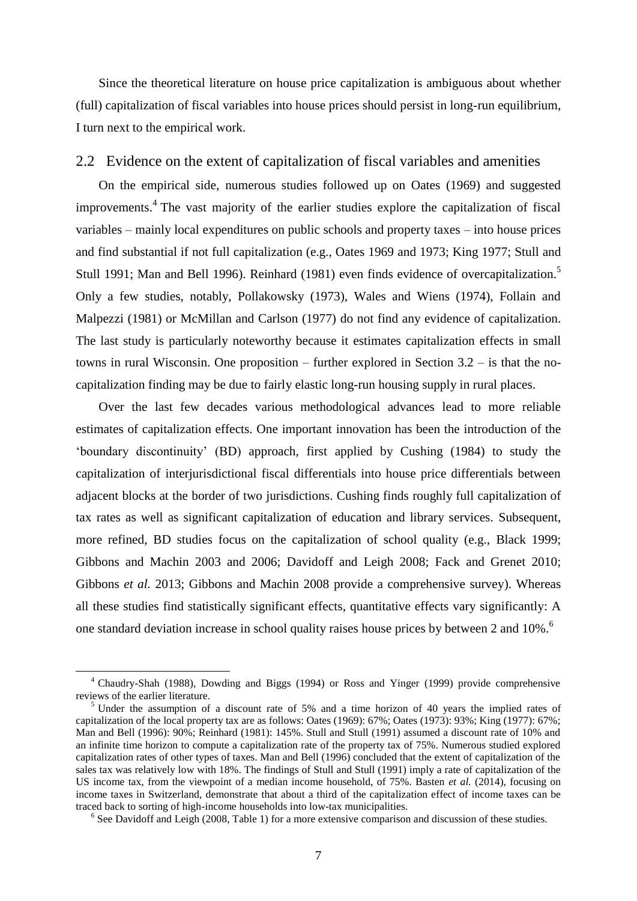Since the theoretical literature on house price capitalization is ambiguous about whether (full) capitalization of fiscal variables into house prices should persist in long-run equilibrium, I turn next to the empirical work.

#### 2.2 Evidence on the extent of capitalization of fiscal variables and amenities

On the empirical side, numerous studies followed up on Oates (1969) and suggested improvements.<sup>4</sup> The vast majority of the earlier studies explore the capitalization of fiscal variables – mainly local expenditures on public schools and property taxes – into house prices and find substantial if not full capitalization (e.g., Oates 1969 and 1973; King 1977; Stull and Stull 1991; Man and Bell 1996). Reinhard (1981) even finds evidence of overcapitalization.<sup>5</sup> Only a few studies, notably, Pollakowsky (1973), Wales and Wiens (1974), Follain and Malpezzi (1981) or McMillan and Carlson (1977) do not find any evidence of capitalization. The last study is particularly noteworthy because it estimates capitalization effects in small towns in rural Wisconsin. One proposition – further explored in Section 3.2 – is that the nocapitalization finding may be due to fairly elastic long-run housing supply in rural places.

Over the last few decades various methodological advances lead to more reliable estimates of capitalization effects. One important innovation has been the introduction of the 'boundary discontinuity' (BD) approach, first applied by Cushing (1984) to study the capitalization of interjurisdictional fiscal differentials into house price differentials between adjacent blocks at the border of two jurisdictions. Cushing finds roughly full capitalization of tax rates as well as significant capitalization of education and library services. Subsequent, more refined, BD studies focus on the capitalization of school quality (e.g., Black 1999; Gibbons and Machin 2003 and 2006; Davidoff and Leigh 2008; Fack and Grenet 2010; Gibbons *et al.* 2013; Gibbons and Machin 2008 provide a comprehensive survey). Whereas all these studies find statistically significant effects, quantitative effects vary significantly: A one standard deviation increase in school quality raises house prices by between 2 and 10%.<sup>6</sup>

<sup>6</sup> See Davidoff and Leigh (2008, Table 1) for a more extensive comparison and discussion of these studies.

<sup>&</sup>lt;sup>4</sup> Chaudry-Shah (1988), Dowding and Biggs (1994) or Ross and Yinger (1999) provide comprehensive reviews of the earlier literature.

<sup>&</sup>lt;sup>5</sup> Under the assumption of a discount rate of 5% and a time horizon of 40 years the implied rates of capitalization of the local property tax are as follows: Oates (1969): 67%; Oates (1973): 93%; King (1977): 67%; Man and Bell (1996): 90%; Reinhard (1981): 145%. Stull and Stull (1991) assumed a discount rate of 10% and an infinite time horizon to compute a capitalization rate of the property tax of 75%. Numerous studied explored capitalization rates of other types of taxes. Man and Bell (1996) concluded that the extent of capitalization of the sales tax was relatively low with 18%. The findings of Stull and Stull (1991) imply a rate of capitalization of the US income tax, from the viewpoint of a median income household, of 75%. Basten *et al.* (2014), focusing on income taxes in Switzerland, demonstrate that about a third of the capitalization effect of income taxes can be traced back to sorting of high-income households into low-tax municipalities.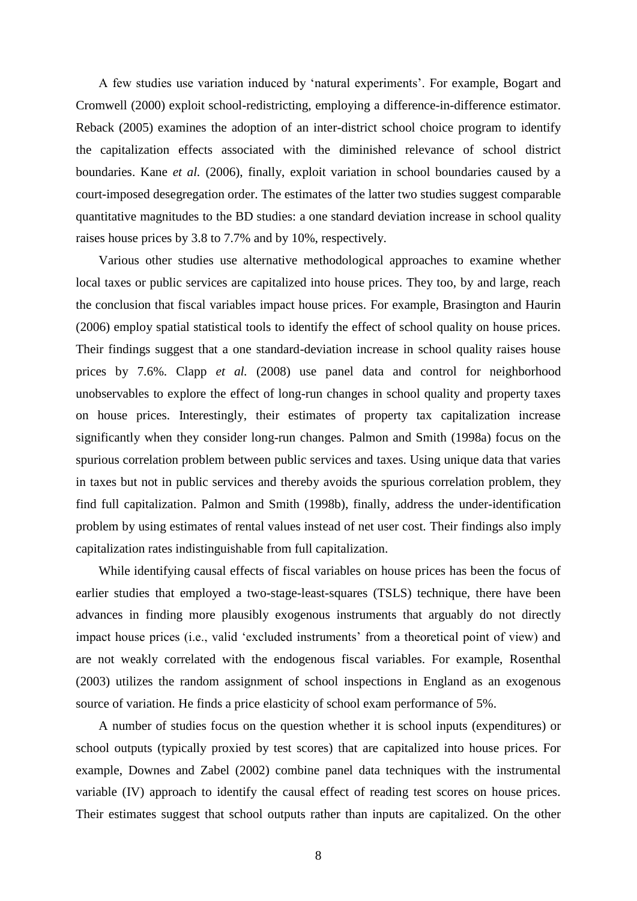A few studies use variation induced by 'natural experiments'. For example, Bogart and Cromwell (2000) exploit school-redistricting, employing a difference-in-difference estimator. Reback (2005) examines the adoption of an inter-district school choice program to identify the capitalization effects associated with the diminished relevance of school district boundaries. Kane *et al.* (2006), finally, exploit variation in school boundaries caused by a court-imposed desegregation order. The estimates of the latter two studies suggest comparable quantitative magnitudes to the BD studies: a one standard deviation increase in school quality raises house prices by 3.8 to 7.7% and by 10%, respectively.

Various other studies use alternative methodological approaches to examine whether local taxes or public services are capitalized into house prices. They too, by and large, reach the conclusion that fiscal variables impact house prices. For example, Brasington and Haurin (2006) employ spatial statistical tools to identify the effect of school quality on house prices. Their findings suggest that a one standard-deviation increase in school quality raises house prices by 7.6%. Clapp *et al.* (2008) use panel data and control for neighborhood unobservables to explore the effect of long-run changes in school quality and property taxes on house prices. Interestingly, their estimates of property tax capitalization increase significantly when they consider long-run changes. Palmon and Smith (1998a) focus on the spurious correlation problem between public services and taxes. Using unique data that varies in taxes but not in public services and thereby avoids the spurious correlation problem, they find full capitalization. Palmon and Smith (1998b), finally, address the under-identification problem by using estimates of rental values instead of net user cost. Their findings also imply capitalization rates indistinguishable from full capitalization.

While identifying causal effects of fiscal variables on house prices has been the focus of earlier studies that employed a two-stage-least-squares (TSLS) technique, there have been advances in finding more plausibly exogenous instruments that arguably do not directly impact house prices (i.e., valid 'excluded instruments' from a theoretical point of view) and are not weakly correlated with the endogenous fiscal variables. For example, Rosenthal (2003) utilizes the random assignment of school inspections in England as an exogenous source of variation. He finds a price elasticity of school exam performance of 5%.

A number of studies focus on the question whether it is school inputs (expenditures) or school outputs (typically proxied by test scores) that are capitalized into house prices. For example, Downes and Zabel (2002) combine panel data techniques with the instrumental variable (IV) approach to identify the causal effect of reading test scores on house prices. Their estimates suggest that school outputs rather than inputs are capitalized. On the other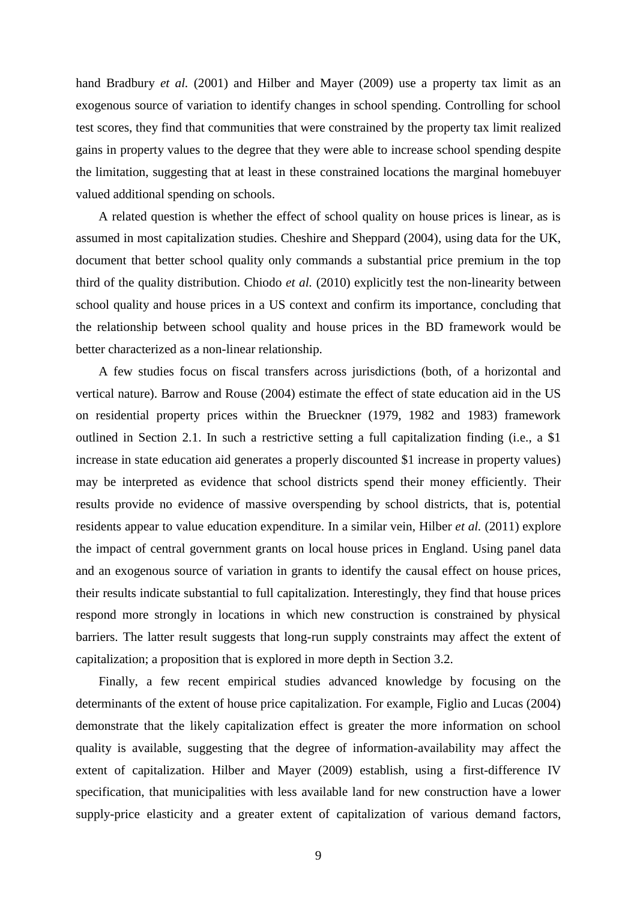hand Bradbury *et al.* (2001) and Hilber and Mayer (2009) use a property tax limit as an exogenous source of variation to identify changes in school spending. Controlling for school test scores, they find that communities that were constrained by the property tax limit realized gains in property values to the degree that they were able to increase school spending despite the limitation, suggesting that at least in these constrained locations the marginal homebuyer valued additional spending on schools.

A related question is whether the effect of school quality on house prices is linear, as is assumed in most capitalization studies. Cheshire and Sheppard (2004), using data for the UK, document that better school quality only commands a substantial price premium in the top third of the quality distribution. Chiodo *et al.* (2010) explicitly test the non-linearity between school quality and house prices in a US context and confirm its importance, concluding that the relationship between school quality and house prices in the BD framework would be better characterized as a non-linear relationship.

A few studies focus on fiscal transfers across jurisdictions (both, of a horizontal and vertical nature). Barrow and Rouse (2004) estimate the effect of state education aid in the US on residential property prices within the Brueckner (1979, 1982 and 1983) framework outlined in Section 2.1. In such a restrictive setting a full capitalization finding (i.e., a \$1 increase in state education aid generates a properly discounted \$1 increase in property values) may be interpreted as evidence that school districts spend their money efficiently. Their results provide no evidence of massive overspending by school districts, that is, potential residents appear to value education expenditure. In a similar vein, Hilber *et al.* (2011) explore the impact of central government grants on local house prices in England. Using panel data and an exogenous source of variation in grants to identify the causal effect on house prices, their results indicate substantial to full capitalization. Interestingly, they find that house prices respond more strongly in locations in which new construction is constrained by physical barriers. The latter result suggests that long-run supply constraints may affect the extent of capitalization; a proposition that is explored in more depth in Section 3.2.

Finally, a few recent empirical studies advanced knowledge by focusing on the determinants of the extent of house price capitalization. For example, Figlio and Lucas (2004) demonstrate that the likely capitalization effect is greater the more information on school quality is available, suggesting that the degree of information-availability may affect the extent of capitalization. Hilber and Mayer (2009) establish, using a first-difference IV specification, that municipalities with less available land for new construction have a lower supply-price elasticity and a greater extent of capitalization of various demand factors,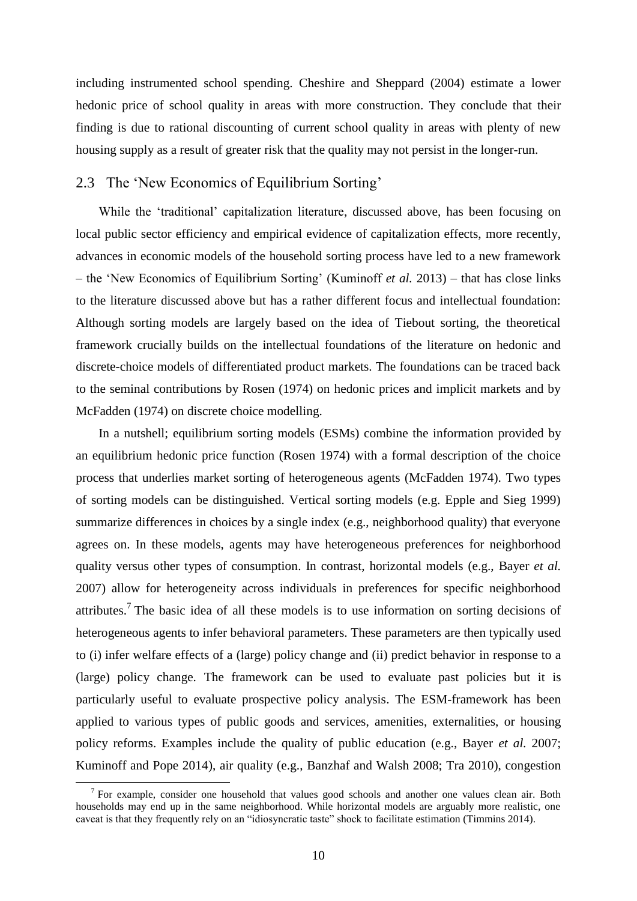including instrumented school spending. Cheshire and Sheppard (2004) estimate a lower hedonic price of school quality in areas with more construction. They conclude that their finding is due to rational discounting of current school quality in areas with plenty of new housing supply as a result of greater risk that the quality may not persist in the longer-run.

#### 2.3 The 'New Economics of Equilibrium Sorting'

While the 'traditional' capitalization literature, discussed above, has been focusing on local public sector efficiency and empirical evidence of capitalization effects, more recently, advances in economic models of the household sorting process have led to a new framework – the 'New Economics of Equilibrium Sorting' (Kuminoff *et al.* 2013) – that has close links to the literature discussed above but has a rather different focus and intellectual foundation: Although sorting models are largely based on the idea of Tiebout sorting, the theoretical framework crucially builds on the intellectual foundations of the literature on hedonic and discrete-choice models of differentiated product markets. The foundations can be traced back to the seminal contributions by Rosen (1974) on hedonic prices and implicit markets and by McFadden (1974) on discrete choice modelling.

In a nutshell; equilibrium sorting models (ESMs) combine the information provided by an equilibrium hedonic price function (Rosen 1974) with a formal description of the choice process that underlies market sorting of heterogeneous agents (McFadden 1974). Two types of sorting models can be distinguished. Vertical sorting models (e.g. Epple and Sieg 1999) summarize differences in choices by a single index (e.g., neighborhood quality) that everyone agrees on. In these models, agents may have heterogeneous preferences for neighborhood quality versus other types of consumption. In contrast, horizontal models (e.g., Bayer *et al.* 2007) allow for heterogeneity across individuals in preferences for specific neighborhood attributes.<sup>7</sup> The basic idea of all these models is to use information on sorting decisions of heterogeneous agents to infer behavioral parameters. These parameters are then typically used to (i) infer welfare effects of a (large) policy change and (ii) predict behavior in response to a (large) policy change. The framework can be used to evaluate past policies but it is particularly useful to evaluate prospective policy analysis. The ESM-framework has been applied to various types of public goods and services, amenities, externalities, or housing policy reforms. Examples include the quality of public education (e.g., Bayer *et al.* 2007; Kuminoff and Pope 2014), air quality (e.g., Banzhaf and Walsh 2008; Tra 2010), congestion

 $<sup>7</sup>$  For example, consider one household that values good schools and another one values clean air. Both</sup> households may end up in the same neighborhood. While horizontal models are arguably more realistic, one caveat is that they frequently rely on an "idiosyncratic taste" shock to facilitate estimation (Timmins 2014).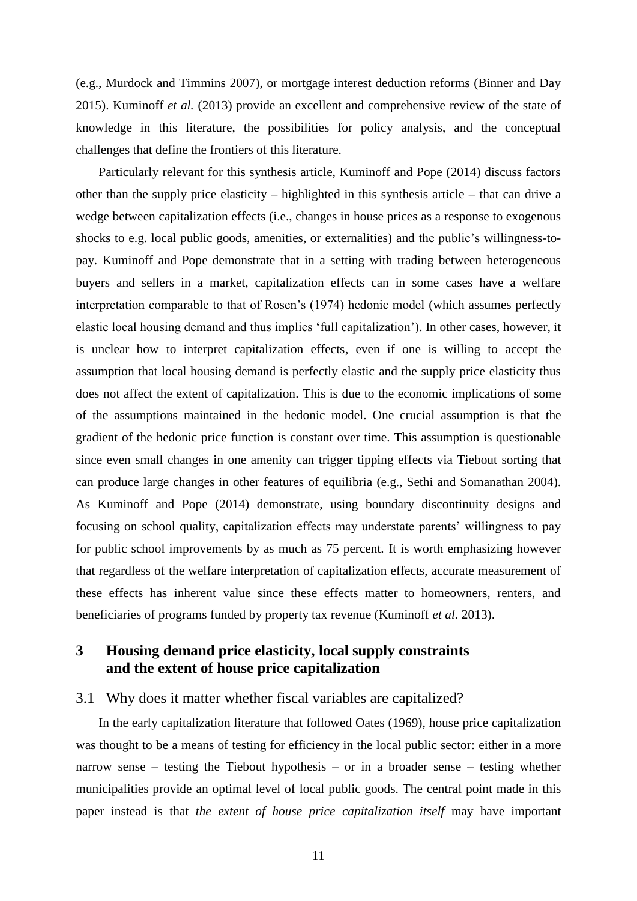(e.g., Murdock and Timmins 2007), or mortgage interest deduction reforms (Binner and Day 2015). Kuminoff *et al.* (2013) provide an excellent and comprehensive review of the state of knowledge in this literature, the possibilities for policy analysis, and the conceptual challenges that define the frontiers of this literature.

Particularly relevant for this synthesis article, Kuminoff and Pope (2014) discuss factors other than the supply price elasticity – highlighted in this synthesis article – that can drive a wedge between capitalization effects (i.e., changes in house prices as a response to exogenous shocks to e.g. local public goods, amenities, or externalities) and the public's willingness-topay. Kuminoff and Pope demonstrate that in a setting with trading between heterogeneous buyers and sellers in a market, capitalization effects can in some cases have a welfare interpretation comparable to that of Rosen's (1974) hedonic model (which assumes perfectly elastic local housing demand and thus implies 'full capitalization'). In other cases, however, it is unclear how to interpret capitalization effects, even if one is willing to accept the assumption that local housing demand is perfectly elastic and the supply price elasticity thus does not affect the extent of capitalization. This is due to the economic implications of some of the assumptions maintained in the hedonic model. One crucial assumption is that the gradient of the hedonic price function is constant over time. This assumption is questionable since even small changes in one amenity can trigger tipping effects via Tiebout sorting that can produce large changes in other features of equilibria (e.g., Sethi and Somanathan 2004). As Kuminoff and Pope (2014) demonstrate, using boundary discontinuity designs and focusing on school quality, capitalization effects may understate parents' willingness to pay for public school improvements by as much as 75 percent. It is worth emphasizing however that regardless of the welfare interpretation of capitalization effects, accurate measurement of these effects has inherent value since these effects matter to homeowners, renters, and beneficiaries of programs funded by property tax revenue (Kuminoff *et al.* 2013).

### **3 Housing demand price elasticity, local supply constraints and the extent of house price capitalization**

#### 3.1 Why does it matter whether fiscal variables are capitalized?

In the early capitalization literature that followed Oates (1969), house price capitalization was thought to be a means of testing for efficiency in the local public sector: either in a more narrow sense – testing the Tiebout hypothesis – or in a broader sense – testing whether municipalities provide an optimal level of local public goods. The central point made in this paper instead is that *the extent of house price capitalization itself* may have important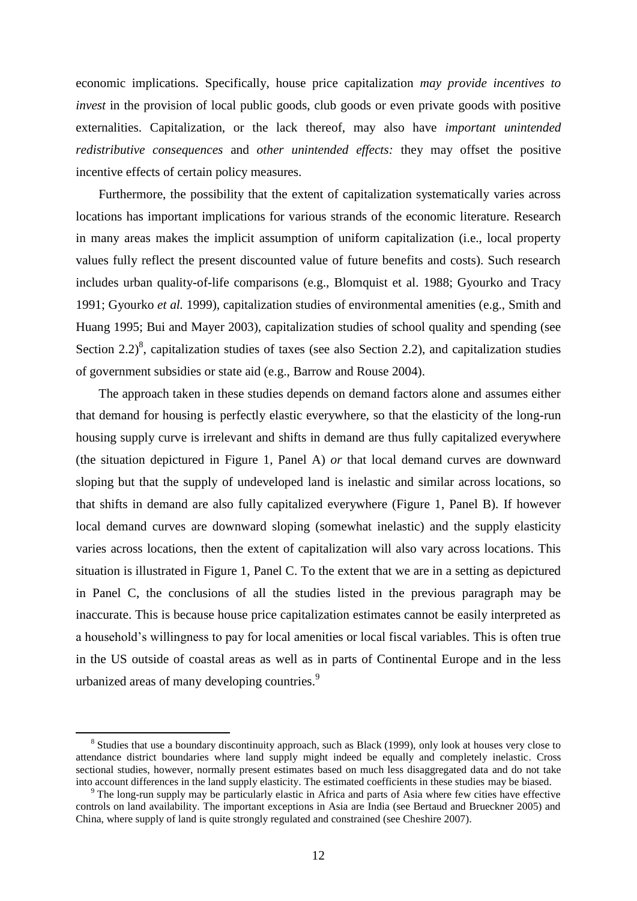economic implications. Specifically, house price capitalization *may provide incentives to invest* in the provision of local public goods, club goods or even private goods with positive externalities. Capitalization, or the lack thereof, may also have *important unintended redistributive consequences* and *other unintended effects:* they may offset the positive incentive effects of certain policy measures.

Furthermore, the possibility that the extent of capitalization systematically varies across locations has important implications for various strands of the economic literature. Research in many areas makes the implicit assumption of uniform capitalization (i.e., local property values fully reflect the present discounted value of future benefits and costs). Such research includes urban quality-of-life comparisons (e.g., Blomquist et al. 1988; Gyourko and Tracy 1991; Gyourko *et al.* 1999), capitalization studies of environmental amenities (e.g., Smith and Huang 1995; Bui and Mayer 2003), capitalization studies of school quality and spending (see Section 2.2)<sup>8</sup>, capitalization studies of taxes (see also Section 2.2), and capitalization studies of government subsidies or state aid (e.g., Barrow and Rouse 2004).

The approach taken in these studies depends on demand factors alone and assumes either that demand for housing is perfectly elastic everywhere, so that the elasticity of the long-run housing supply curve is irrelevant and shifts in demand are thus fully capitalized everywhere (the situation depictured in Figure 1, Panel A) *or* that local demand curves are downward sloping but that the supply of undeveloped land is inelastic and similar across locations, so that shifts in demand are also fully capitalized everywhere (Figure 1, Panel B). If however local demand curves are downward sloping (somewhat inelastic) and the supply elasticity varies across locations, then the extent of capitalization will also vary across locations. This situation is illustrated in Figure 1, Panel C. To the extent that we are in a setting as depictured in Panel C, the conclusions of all the studies listed in the previous paragraph may be inaccurate. This is because house price capitalization estimates cannot be easily interpreted as a household's willingness to pay for local amenities or local fiscal variables. This is often true in the US outside of coastal areas as well as in parts of Continental Europe and in the less urbanized areas of many developing countries.<sup>9</sup>

<sup>&</sup>lt;sup>8</sup> Studies that use a boundary discontinuity approach, such as Black (1999), only look at houses very close to attendance district boundaries where land supply might indeed be equally and completely inelastic. Cross sectional studies, however, normally present estimates based on much less disaggregated data and do not take into account differences in the land supply elasticity. The estimated coefficients in these studies may be biased.

<sup>&</sup>lt;sup>9</sup> The long-run supply may be particularly elastic in Africa and parts of Asia where few cities have effective controls on land availability. The important exceptions in Asia are India (see Bertaud and Brueckner 2005) and China, where supply of land is quite strongly regulated and constrained (see Cheshire 2007).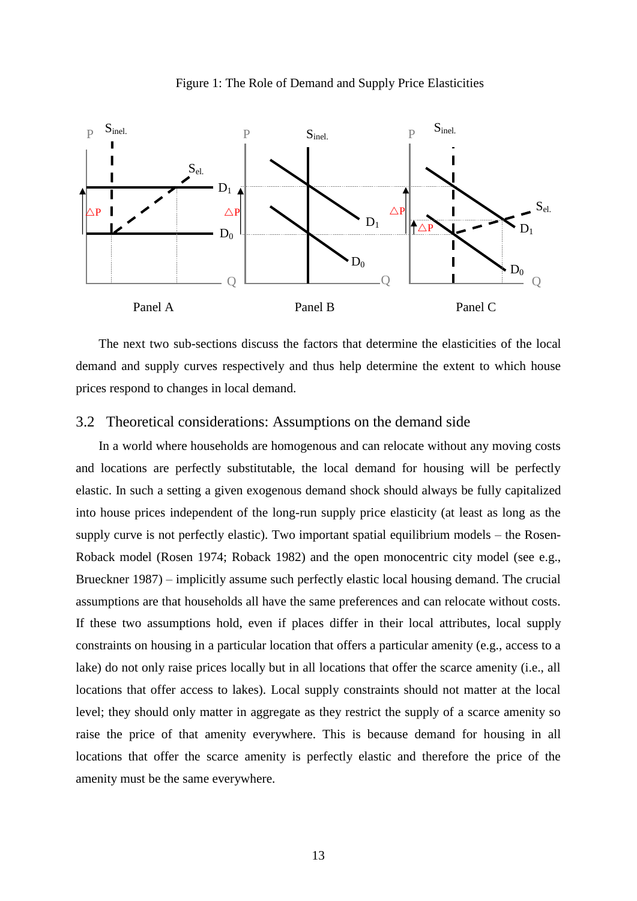

Figure 1: The Role of Demand and Supply Price Elasticities

The next two sub-sections discuss the factors that determine the elasticities of the local demand and supply curves respectively and thus help determine the extent to which house prices respond to changes in local demand.

#### 3.2 Theoretical considerations: Assumptions on the demand side

In a world where households are homogenous and can relocate without any moving costs and locations are perfectly substitutable, the local demand for housing will be perfectly elastic. In such a setting a given exogenous demand shock should always be fully capitalized into house prices independent of the long-run supply price elasticity (at least as long as the supply curve is not perfectly elastic). Two important spatial equilibrium models – the Rosen-Roback model (Rosen 1974; Roback 1982) and the open monocentric city model (see e.g., Brueckner 1987) – implicitly assume such perfectly elastic local housing demand. The crucial assumptions are that households all have the same preferences and can relocate without costs. If these two assumptions hold, even if places differ in their local attributes, local supply constraints on housing in a particular location that offers a particular amenity (e.g., access to a lake) do not only raise prices locally but in all locations that offer the scarce amenity (i.e., all locations that offer access to lakes). Local supply constraints should not matter at the local level; they should only matter in aggregate as they restrict the supply of a scarce amenity so raise the price of that amenity everywhere. This is because demand for housing in all locations that offer the scarce amenity is perfectly elastic and therefore the price of the amenity must be the same everywhere.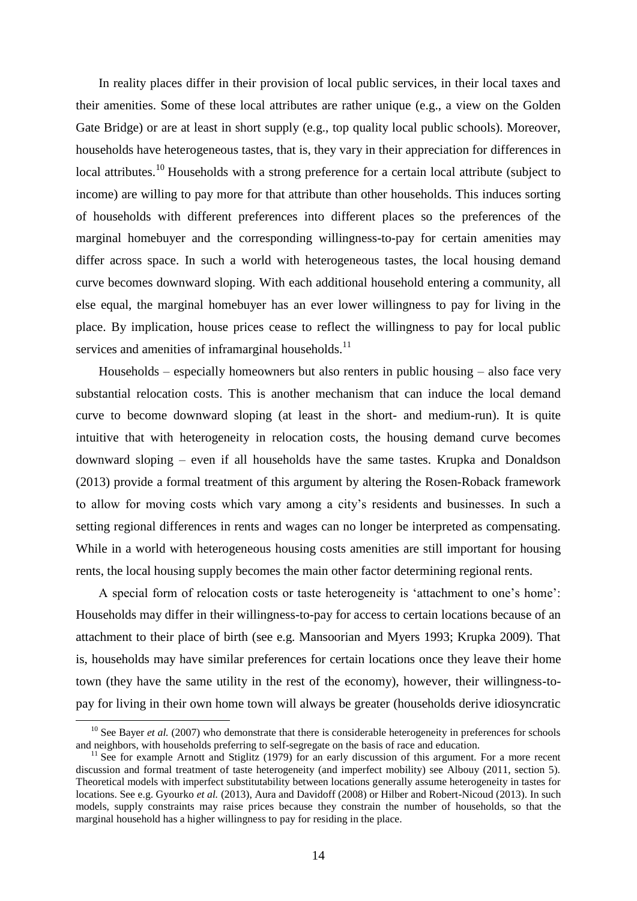In reality places differ in their provision of local public services, in their local taxes and their amenities. Some of these local attributes are rather unique (e.g., a view on the Golden Gate Bridge) or are at least in short supply (e.g., top quality local public schools). Moreover, households have heterogeneous tastes, that is, they vary in their appreciation for differences in local attributes.<sup>10</sup> Households with a strong preference for a certain local attribute (subject to income) are willing to pay more for that attribute than other households. This induces sorting of households with different preferences into different places so the preferences of the marginal homebuyer and the corresponding willingness-to-pay for certain amenities may differ across space. In such a world with heterogeneous tastes, the local housing demand curve becomes downward sloping. With each additional household entering a community, all else equal, the marginal homebuyer has an ever lower willingness to pay for living in the place. By implication, house prices cease to reflect the willingness to pay for local public services and amenities of inframarginal households.<sup>11</sup>

Households – especially homeowners but also renters in public housing – also face very substantial relocation costs. This is another mechanism that can induce the local demand curve to become downward sloping (at least in the short- and medium-run). It is quite intuitive that with heterogeneity in relocation costs, the housing demand curve becomes downward sloping – even if all households have the same tastes. Krupka and Donaldson (2013) provide a formal treatment of this argument by altering the Rosen-Roback framework to allow for moving costs which vary among a city's residents and businesses. In such a setting regional differences in rents and wages can no longer be interpreted as compensating. While in a world with heterogeneous housing costs amenities are still important for housing rents, the local housing supply becomes the main other factor determining regional rents.

A special form of relocation costs or taste heterogeneity is 'attachment to one's home': Households may differ in their willingness-to-pay for access to certain locations because of an attachment to their place of birth (see e.g. Mansoorian and Myers 1993; Krupka 2009). That is, households may have similar preferences for certain locations once they leave their home town (they have the same utility in the rest of the economy), however, their willingness-topay for living in their own home town will always be greater (households derive idiosyncratic

<sup>&</sup>lt;sup>10</sup> See Bayer *et al.* (2007) who demonstrate that there is considerable heterogeneity in preferences for schools and neighbors, with households preferring to self-segregate on the basis of race and education.

<sup>&</sup>lt;sup>11</sup> See for example Arnott and Stiglitz (1979) for an early discussion of this argument. For a more recent discussion and formal treatment of taste heterogeneity (and imperfect mobility) see Albouy (2011, section 5). Theoretical models with imperfect substitutability between locations generally assume heterogeneity in tastes for locations. See e.g. Gyourko *et al.* (2013), Aura and Davidoff (2008) or Hilber and Robert-Nicoud (2013). In such models, supply constraints may raise prices because they constrain the number of households, so that the marginal household has a higher willingness to pay for residing in the place.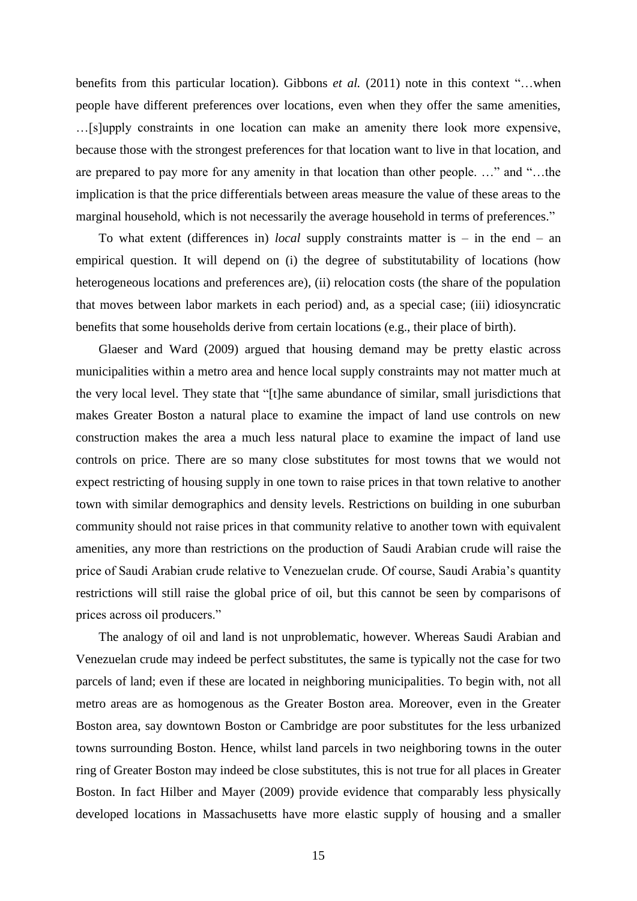benefits from this particular location). Gibbons *et al.* (2011) note in this context "…when people have different preferences over locations, even when they offer the same amenities, …[s]upply constraints in one location can make an amenity there look more expensive, because those with the strongest preferences for that location want to live in that location, and are prepared to pay more for any amenity in that location than other people. …" and "…the implication is that the price differentials between areas measure the value of these areas to the marginal household, which is not necessarily the average household in terms of preferences."

To what extent (differences in) *local* supply constraints matter is – in the end – an empirical question. It will depend on (i) the degree of substitutability of locations (how heterogeneous locations and preferences are), (ii) relocation costs (the share of the population that moves between labor markets in each period) and, as a special case; (iii) idiosyncratic benefits that some households derive from certain locations (e.g., their place of birth).

Glaeser and Ward (2009) argued that housing demand may be pretty elastic across municipalities within a metro area and hence local supply constraints may not matter much at the very local level. They state that "[t]he same abundance of similar, small jurisdictions that makes Greater Boston a natural place to examine the impact of land use controls on new construction makes the area a much less natural place to examine the impact of land use controls on price. There are so many close substitutes for most towns that we would not expect restricting of housing supply in one town to raise prices in that town relative to another town with similar demographics and density levels. Restrictions on building in one suburban community should not raise prices in that community relative to another town with equivalent amenities, any more than restrictions on the production of Saudi Arabian crude will raise the price of Saudi Arabian crude relative to Venezuelan crude. Of course, Saudi Arabia's quantity restrictions will still raise the global price of oil, but this cannot be seen by comparisons of prices across oil producers."

The analogy of oil and land is not unproblematic, however. Whereas Saudi Arabian and Venezuelan crude may indeed be perfect substitutes, the same is typically not the case for two parcels of land; even if these are located in neighboring municipalities. To begin with, not all metro areas are as homogenous as the Greater Boston area. Moreover, even in the Greater Boston area, say downtown Boston or Cambridge are poor substitutes for the less urbanized towns surrounding Boston. Hence, whilst land parcels in two neighboring towns in the outer ring of Greater Boston may indeed be close substitutes, this is not true for all places in Greater Boston. In fact Hilber and Mayer (2009) provide evidence that comparably less physically developed locations in Massachusetts have more elastic supply of housing and a smaller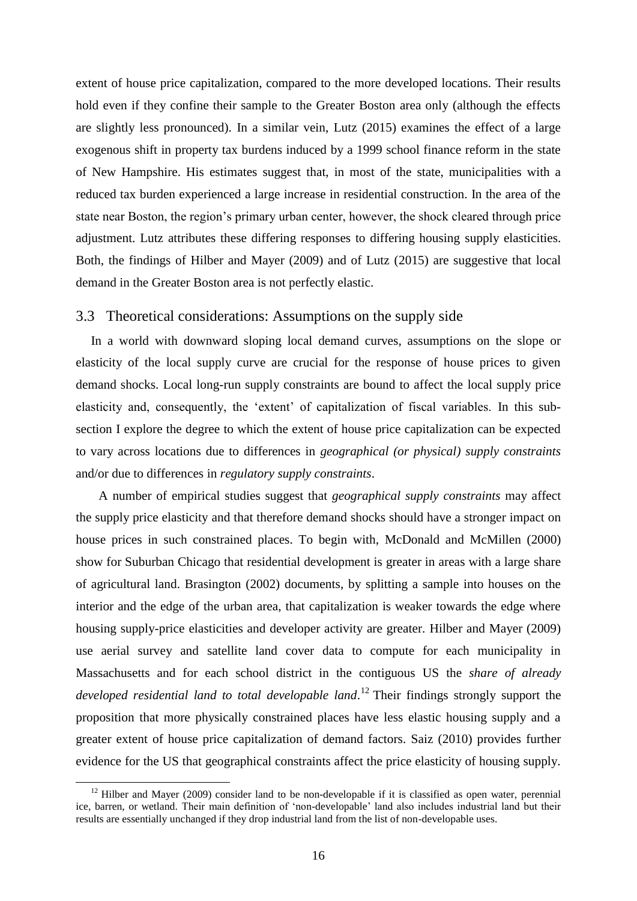extent of house price capitalization, compared to the more developed locations. Their results hold even if they confine their sample to the Greater Boston area only (although the effects are slightly less pronounced). In a similar vein, Lutz (2015) examines the effect of a large exogenous shift in property tax burdens induced by a 1999 school finance reform in the state of New Hampshire. His estimates suggest that, in most of the state, municipalities with a reduced tax burden experienced a large increase in residential construction. In the area of the state near Boston, the region's primary urban center, however, the shock cleared through price adjustment. Lutz attributes these differing responses to differing housing supply elasticities. Both, the findings of Hilber and Mayer (2009) and of Lutz (2015) are suggestive that local demand in the Greater Boston area is not perfectly elastic.

#### 3.3 Theoretical considerations: Assumptions on the supply side

In a world with downward sloping local demand curves, assumptions on the slope or elasticity of the local supply curve are crucial for the response of house prices to given demand shocks. Local long-run supply constraints are bound to affect the local supply price elasticity and, consequently, the 'extent' of capitalization of fiscal variables. In this subsection I explore the degree to which the extent of house price capitalization can be expected to vary across locations due to differences in *geographical (or physical) supply constraints* and/or due to differences in *regulatory supply constraints*.

A number of empirical studies suggest that *geographical supply constraints* may affect the supply price elasticity and that therefore demand shocks should have a stronger impact on house prices in such constrained places. To begin with, McDonald and McMillen (2000) show for Suburban Chicago that residential development is greater in areas with a large share of agricultural land. Brasington (2002) documents, by splitting a sample into houses on the interior and the edge of the urban area, that capitalization is weaker towards the edge where housing supply-price elasticities and developer activity are greater. Hilber and Mayer (2009) use aerial survey and satellite land cover data to compute for each municipality in Massachusetts and for each school district in the contiguous US the *share of already developed residential land to total developable land*. <sup>12</sup> Their findings strongly support the proposition that more physically constrained places have less elastic housing supply and a greater extent of house price capitalization of demand factors. Saiz (2010) provides further evidence for the US that geographical constraints affect the price elasticity of housing supply.

 $12$  Hilber and Mayer (2009) consider land to be non-developable if it is classified as open water, perennial ice, barren, or wetland. Their main definition of 'non-developable' land also includes industrial land but their results are essentially unchanged if they drop industrial land from the list of non-developable uses.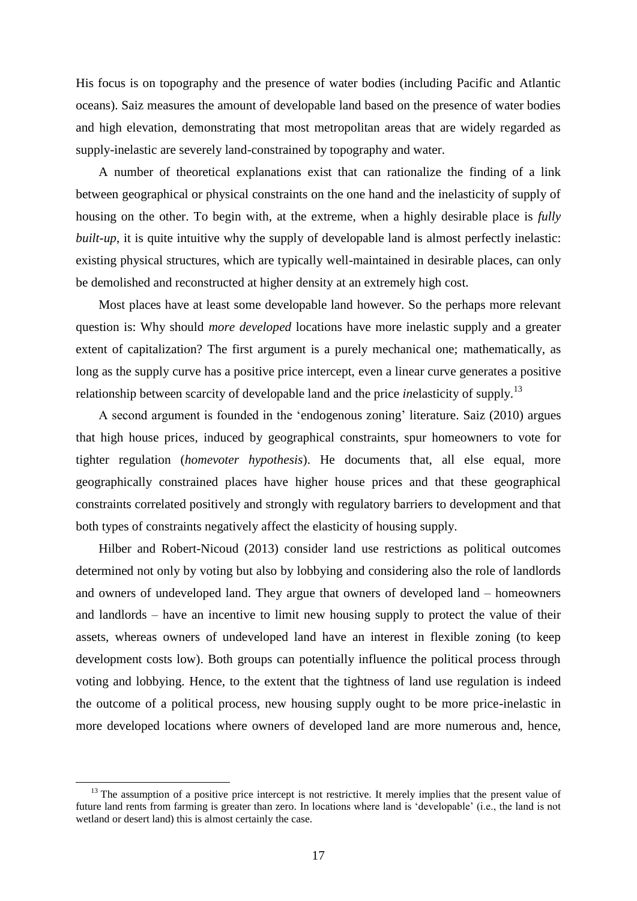His focus is on topography and the presence of water bodies (including Pacific and Atlantic oceans). Saiz measures the amount of developable land based on the presence of water bodies and high elevation, demonstrating that most metropolitan areas that are widely regarded as supply-inelastic are severely land-constrained by topography and water.

A number of theoretical explanations exist that can rationalize the finding of a link between geographical or physical constraints on the one hand and the inelasticity of supply of housing on the other. To begin with, at the extreme, when a highly desirable place is *fully built-up*, it is quite intuitive why the supply of developable land is almost perfectly inelastic: existing physical structures, which are typically well-maintained in desirable places, can only be demolished and reconstructed at higher density at an extremely high cost.

Most places have at least some developable land however. So the perhaps more relevant question is: Why should *more developed* locations have more inelastic supply and a greater extent of capitalization? The first argument is a purely mechanical one; mathematically, as long as the supply curve has a positive price intercept, even a linear curve generates a positive relationship between scarcity of developable land and the price *in*elasticity of supply.<sup>13</sup>

A second argument is founded in the 'endogenous zoning' literature. Saiz (2010) argues that high house prices, induced by geographical constraints, spur homeowners to vote for tighter regulation (*homevoter hypothesis*). He documents that, all else equal, more geographically constrained places have higher house prices and that these geographical constraints correlated positively and strongly with regulatory barriers to development and that both types of constraints negatively affect the elasticity of housing supply.

Hilber and Robert-Nicoud (2013) consider land use restrictions as political outcomes determined not only by voting but also by lobbying and considering also the role of landlords and owners of undeveloped land. They argue that owners of developed land – homeowners and landlords – have an incentive to limit new housing supply to protect the value of their assets, whereas owners of undeveloped land have an interest in flexible zoning (to keep development costs low). Both groups can potentially influence the political process through voting and lobbying. Hence, to the extent that the tightness of land use regulation is indeed the outcome of a political process, new housing supply ought to be more price-inelastic in more developed locations where owners of developed land are more numerous and, hence,

<sup>&</sup>lt;sup>13</sup> The assumption of a positive price intercept is not restrictive. It merely implies that the present value of future land rents from farming is greater than zero. In locations where land is 'developable' (i.e., the land is not wetland or desert land) this is almost certainly the case.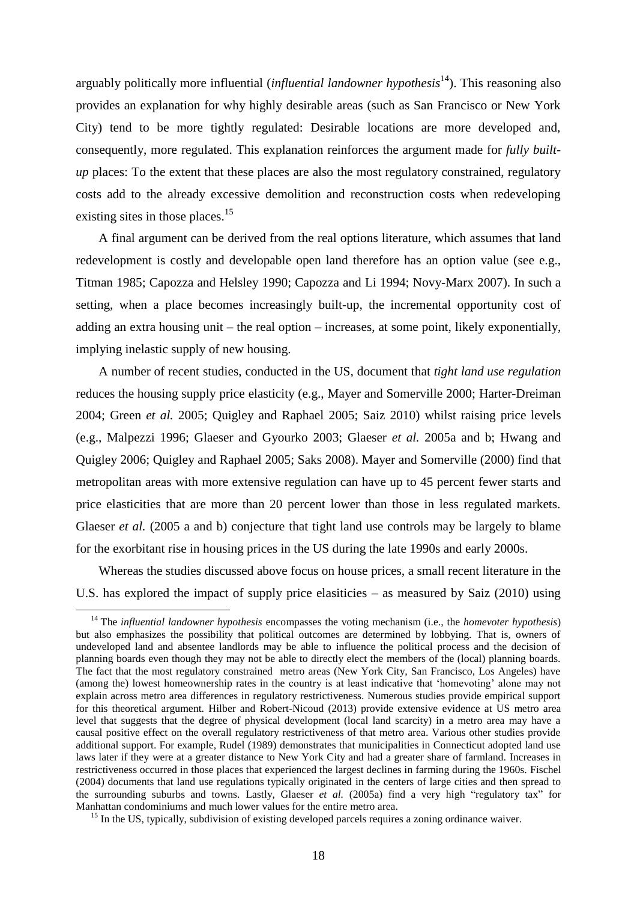arguably politically more influential (*influential landowner hypothesis*<sup>14</sup>). This reasoning also provides an explanation for why highly desirable areas (such as San Francisco or New York City) tend to be more tightly regulated: Desirable locations are more developed and, consequently, more regulated. This explanation reinforces the argument made for *fully builtup* places: To the extent that these places are also the most regulatory constrained, regulatory costs add to the already excessive demolition and reconstruction costs when redeveloping existing sites in those places.<sup>15</sup>

A final argument can be derived from the real options literature, which assumes that land redevelopment is costly and developable open land therefore has an option value (see e.g., Titman 1985; Capozza and Helsley 1990; Capozza and Li 1994; Novy-Marx 2007). In such a setting, when a place becomes increasingly built-up, the incremental opportunity cost of adding an extra housing unit – the real option – increases, at some point, likely exponentially, implying inelastic supply of new housing.

A number of recent studies, conducted in the US, document that *tight land use regulation* reduces the housing supply price elasticity (e.g., Mayer and Somerville 2000; Harter-Dreiman 2004; Green *et al.* 2005; Quigley and Raphael 2005; Saiz 2010) whilst raising price levels (e.g., Malpezzi 1996; Glaeser and Gyourko 2003; Glaeser *et al.* 2005a and b; Hwang and Quigley 2006; Quigley and Raphael 2005; Saks 2008). Mayer and Somerville (2000) find that metropolitan areas with more extensive regulation can have up to 45 percent fewer starts and price elasticities that are more than 20 percent lower than those in less regulated markets. Glaeser *et al.* (2005 a and b) conjecture that tight land use controls may be largely to blame for the exorbitant rise in housing prices in the US during the late 1990s and early 2000s.

Whereas the studies discussed above focus on house prices, a small recent literature in the U.S. has explored the impact of supply price elasiticies – as measured by Saiz (2010) using

<sup>15</sup> In the US, typically, subdivision of existing developed parcels requires a zoning ordinance waiver.

<sup>14</sup> The *influential landowner hypothesis* encompasses the voting mechanism (i.e., the *homevoter hypothesis*) but also emphasizes the possibility that political outcomes are determined by lobbying. That is, owners of undeveloped land and absentee landlords may be able to influence the political process and the decision of planning boards even though they may not be able to directly elect the members of the (local) planning boards. The fact that the most regulatory constrained metro areas (New York City, San Francisco, Los Angeles) have (among the) lowest homeownership rates in the country is at least indicative that 'homevoting' alone may not explain across metro area differences in regulatory restrictiveness. Numerous studies provide empirical support for this theoretical argument. Hilber and Robert-Nicoud (2013) provide extensive evidence at US metro area level that suggests that the degree of physical development (local land scarcity) in a metro area may have a causal positive effect on the overall regulatory restrictiveness of that metro area. Various other studies provide additional support. For example, Rudel (1989) demonstrates that municipalities in Connecticut adopted land use laws later if they were at a greater distance to New York City and had a greater share of farmland. Increases in restrictiveness occurred in those places that experienced the largest declines in farming during the 1960s. Fischel (2004) documents that land use regulations typically originated in the centers of large cities and then spread to the surrounding suburbs and towns. Lastly, Glaeser *et al.* (2005a) find a very high "regulatory tax" for Manhattan condominiums and much lower values for the entire metro area.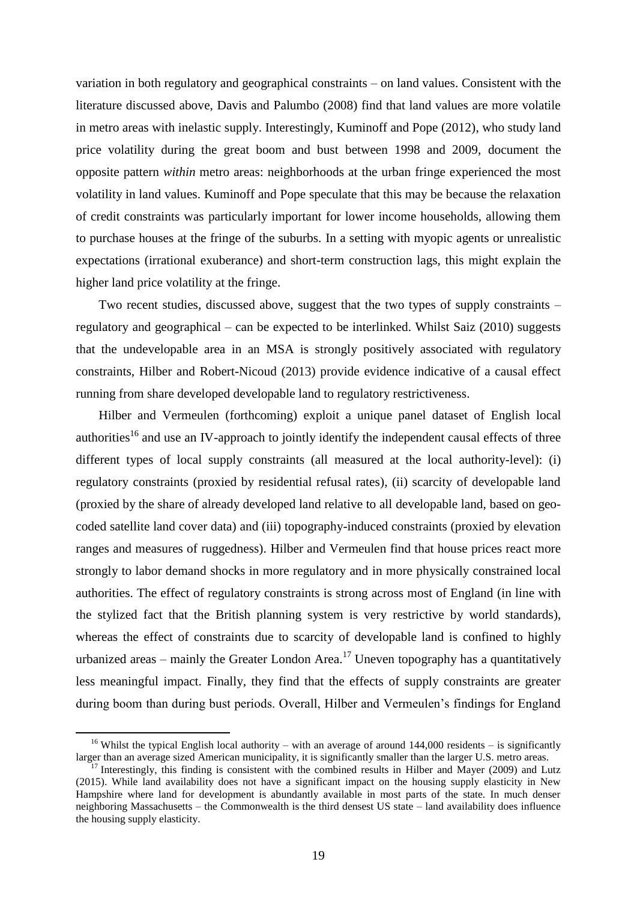variation in both regulatory and geographical constraints – on land values. Consistent with the literature discussed above, Davis and Palumbo (2008) find that land values are more volatile in metro areas with inelastic supply. Interestingly, Kuminoff and Pope (2012), who study land price volatility during the great boom and bust between 1998 and 2009, document the opposite pattern *within* metro areas: neighborhoods at the urban fringe experienced the most volatility in land values. Kuminoff and Pope speculate that this may be because the relaxation of credit constraints was particularly important for lower income households, allowing them to purchase houses at the fringe of the suburbs. In a setting with myopic agents or unrealistic expectations (irrational exuberance) and short-term construction lags, this might explain the higher land price volatility at the fringe.

Two recent studies, discussed above, suggest that the two types of supply constraints – regulatory and geographical – can be expected to be interlinked. Whilst Saiz (2010) suggests that the undevelopable area in an MSA is strongly positively associated with regulatory constraints, Hilber and Robert-Nicoud (2013) provide evidence indicative of a causal effect running from share developed developable land to regulatory restrictiveness.

Hilber and Vermeulen (forthcoming) exploit a unique panel dataset of English local authorities<sup>16</sup> and use an IV-approach to jointly identify the independent causal effects of three different types of local supply constraints (all measured at the local authority-level): (i) regulatory constraints (proxied by residential refusal rates), (ii) scarcity of developable land (proxied by the share of already developed land relative to all developable land, based on geocoded satellite land cover data) and (iii) topography-induced constraints (proxied by elevation ranges and measures of ruggedness). Hilber and Vermeulen find that house prices react more strongly to labor demand shocks in more regulatory and in more physically constrained local authorities. The effect of regulatory constraints is strong across most of England (in line with the stylized fact that the British planning system is very restrictive by world standards), whereas the effect of constraints due to scarcity of developable land is confined to highly urbanized areas – mainly the Greater London Area.<sup>17</sup> Uneven topography has a quantitatively less meaningful impact. Finally, they find that the effects of supply constraints are greater during boom than during bust periods. Overall, Hilber and Vermeulen's findings for England

<sup>&</sup>lt;sup>16</sup> Whilst the typical English local authority – with an average of around 144,000 residents – is significantly larger than an average sized American municipality, it is significantly smaller than the larger U.S. metro areas.

<sup>17</sup> Interestingly, this finding is consistent with the combined results in Hilber and Mayer (2009) and Lutz (2015). While land availability does not have a significant impact on the housing supply elasticity in New Hampshire where land for development is abundantly available in most parts of the state. In much denser neighboring Massachusetts – the Commonwealth is the third densest US state – land availability does influence the housing supply elasticity.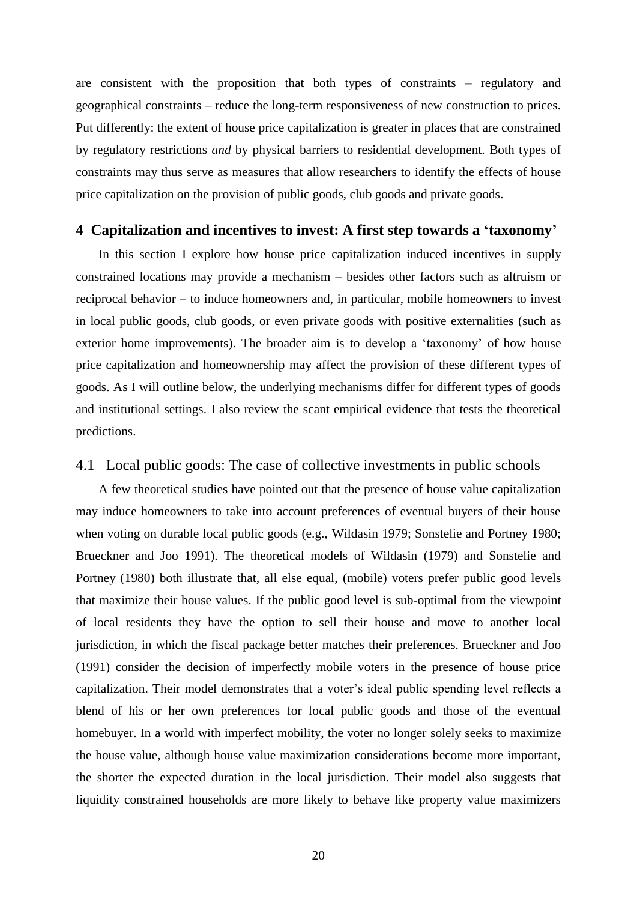are consistent with the proposition that both types of constraints – regulatory and geographical constraints – reduce the long-term responsiveness of new construction to prices. Put differently: the extent of house price capitalization is greater in places that are constrained by regulatory restrictions *and* by physical barriers to residential development. Both types of constraints may thus serve as measures that allow researchers to identify the effects of house price capitalization on the provision of public goods, club goods and private goods.

#### **4 Capitalization and incentives to invest: A first step towards a 'taxonomy'**

In this section I explore how house price capitalization induced incentives in supply constrained locations may provide a mechanism – besides other factors such as altruism or reciprocal behavior – to induce homeowners and, in particular, mobile homeowners to invest in local public goods, club goods, or even private goods with positive externalities (such as exterior home improvements). The broader aim is to develop a 'taxonomy' of how house price capitalization and homeownership may affect the provision of these different types of goods. As I will outline below, the underlying mechanisms differ for different types of goods and institutional settings. I also review the scant empirical evidence that tests the theoretical predictions.

#### 4.1 Local public goods: The case of collective investments in public schools

A few theoretical studies have pointed out that the presence of house value capitalization may induce homeowners to take into account preferences of eventual buyers of their house when voting on durable local public goods (e.g., Wildasin 1979; Sonstelie and Portney 1980; Brueckner and Joo 1991). The theoretical models of Wildasin (1979) and Sonstelie and Portney (1980) both illustrate that, all else equal, (mobile) voters prefer public good levels that maximize their house values. If the public good level is sub-optimal from the viewpoint of local residents they have the option to sell their house and move to another local jurisdiction, in which the fiscal package better matches their preferences. Brueckner and Joo (1991) consider the decision of imperfectly mobile voters in the presence of house price capitalization. Their model demonstrates that a voter's ideal public spending level reflects a blend of his or her own preferences for local public goods and those of the eventual homebuyer. In a world with imperfect mobility, the voter no longer solely seeks to maximize the house value, although house value maximization considerations become more important, the shorter the expected duration in the local jurisdiction. Their model also suggests that liquidity constrained households are more likely to behave like property value maximizers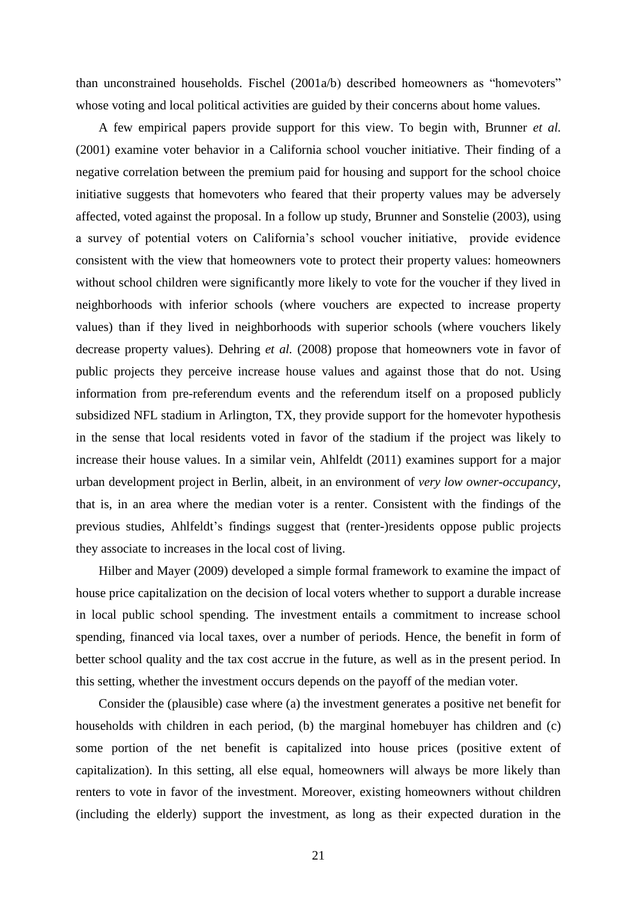than unconstrained households. Fischel (2001a/b) described homeowners as "homevoters" whose voting and local political activities are guided by their concerns about home values.

A few empirical papers provide support for this view. To begin with, Brunner *et al.* (2001) examine voter behavior in a California school voucher initiative. Their finding of a negative correlation between the premium paid for housing and support for the school choice initiative suggests that homevoters who feared that their property values may be adversely affected, voted against the proposal. In a follow up study, Brunner and Sonstelie (2003), using a survey of potential voters on California's school voucher initiative, provide evidence consistent with the view that homeowners vote to protect their property values: homeowners without school children were significantly more likely to vote for the voucher if they lived in neighborhoods with inferior schools (where vouchers are expected to increase property values) than if they lived in neighborhoods with superior schools (where vouchers likely decrease property values). Dehring *et al.* (2008) propose that homeowners vote in favor of public projects they perceive increase house values and against those that do not. Using information from pre-referendum events and the referendum itself on a proposed publicly subsidized NFL stadium in Arlington, TX, they provide support for the homevoter hypothesis in the sense that local residents voted in favor of the stadium if the project was likely to increase their house values. In a similar vein, Ahlfeldt (2011) examines support for a major urban development project in Berlin, albeit, in an environment of *very low owner-occupancy*, that is, in an area where the median voter is a renter. Consistent with the findings of the previous studies, Ahlfeldt's findings suggest that (renter-)residents oppose public projects they associate to increases in the local cost of living.

Hilber and Mayer (2009) developed a simple formal framework to examine the impact of house price capitalization on the decision of local voters whether to support a durable increase in local public school spending. The investment entails a commitment to increase school spending, financed via local taxes, over a number of periods. Hence, the benefit in form of better school quality and the tax cost accrue in the future, as well as in the present period. In this setting, whether the investment occurs depends on the payoff of the median voter.

Consider the (plausible) case where (a) the investment generates a positive net benefit for households with children in each period, (b) the marginal homebuyer has children and (c) some portion of the net benefit is capitalized into house prices (positive extent of capitalization). In this setting, all else equal, homeowners will always be more likely than renters to vote in favor of the investment. Moreover, existing homeowners without children (including the elderly) support the investment, as long as their expected duration in the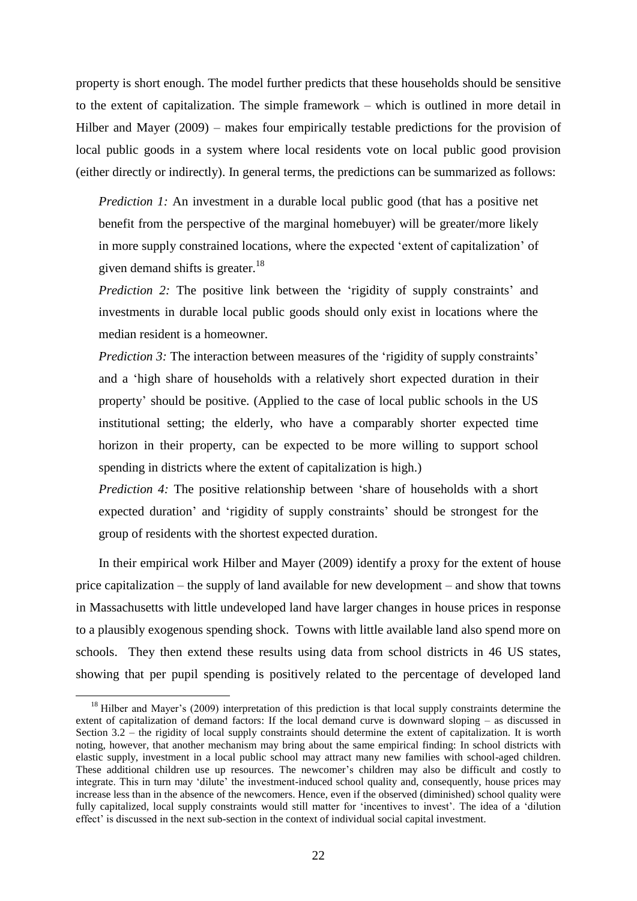property is short enough. The model further predicts that these households should be sensitive to the extent of capitalization. The simple framework – which is outlined in more detail in Hilber and Mayer (2009) – makes four empirically testable predictions for the provision of local public goods in a system where local residents vote on local public good provision (either directly or indirectly). In general terms, the predictions can be summarized as follows:

*Prediction 1:* An investment in a durable local public good (that has a positive net benefit from the perspective of the marginal homebuyer) will be greater/more likely in more supply constrained locations, where the expected 'extent of capitalization' of given demand shifts is greater.<sup>18</sup>

*Prediction 2:* The positive link between the 'rigidity of supply constraints' and investments in durable local public goods should only exist in locations where the median resident is a homeowner.

*Prediction 3:* The interaction between measures of the 'rigidity of supply constraints' and a 'high share of households with a relatively short expected duration in their property' should be positive. (Applied to the case of local public schools in the US institutional setting; the elderly, who have a comparably shorter expected time horizon in their property, can be expected to be more willing to support school spending in districts where the extent of capitalization is high.)

*Prediction 4:* The positive relationship between 'share of households with a short expected duration' and 'rigidity of supply constraints' should be strongest for the group of residents with the shortest expected duration.

In their empirical work Hilber and Mayer (2009) identify a proxy for the extent of house price capitalization – the supply of land available for new development – and show that towns in Massachusetts with little undeveloped land have larger changes in house prices in response to a plausibly exogenous spending shock. Towns with little available land also spend more on schools. They then extend these results using data from school districts in 46 US states, showing that per pupil spending is positively related to the percentage of developed land

<sup>&</sup>lt;sup>18</sup> Hilber and Mayer's (2009) interpretation of this prediction is that local supply constraints determine the extent of capitalization of demand factors: If the local demand curve is downward sloping – as discussed in Section 3.2 – the rigidity of local supply constraints should determine the extent of capitalization. It is worth noting, however, that another mechanism may bring about the same empirical finding: In school districts with elastic supply, investment in a local public school may attract many new families with school-aged children. These additional children use up resources. The newcomer's children may also be difficult and costly to integrate. This in turn may 'dilute' the investment-induced school quality and, consequently, house prices may increase less than in the absence of the newcomers. Hence, even if the observed (diminished) school quality were fully capitalized, local supply constraints would still matter for 'incentives to invest'. The idea of a 'dilution effect' is discussed in the next sub-section in the context of individual social capital investment.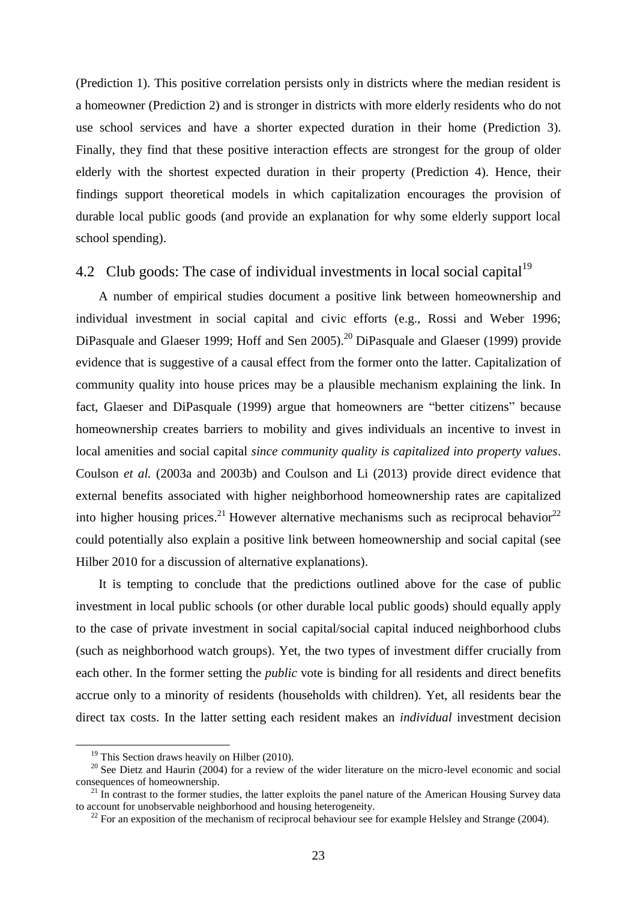(Prediction 1). This positive correlation persists only in districts where the median resident is a homeowner (Prediction 2) and is stronger in districts with more elderly residents who do not use school services and have a shorter expected duration in their home (Prediction 3). Finally, they find that these positive interaction effects are strongest for the group of older elderly with the shortest expected duration in their property (Prediction 4). Hence, their findings support theoretical models in which capitalization encourages the provision of durable local public goods (and provide an explanation for why some elderly support local school spending).

### 4.2 Club goods: The case of individual investments in local social capital<sup>19</sup>

A number of empirical studies document a positive link between homeownership and individual investment in social capital and civic efforts (e.g., Rossi and Weber 1996; DiPasquale and Glaeser 1999; Hoff and Sen 2005).<sup>20</sup> DiPasquale and Glaeser (1999) provide evidence that is suggestive of a causal effect from the former onto the latter. Capitalization of community quality into house prices may be a plausible mechanism explaining the link. In fact, Glaeser and DiPasquale (1999) argue that homeowners are "better citizens" because homeownership creates barriers to mobility and gives individuals an incentive to invest in local amenities and social capital *since community quality is capitalized into property values*. Coulson *et al.* (2003a and 2003b) and Coulson and Li (2013) provide direct evidence that external benefits associated with higher neighborhood homeownership rates are capitalized into higher housing prices.<sup>21</sup> However alternative mechanisms such as reciprocal behavior<sup>22</sup> could potentially also explain a positive link between homeownership and social capital (see Hilber 2010 for a discussion of alternative explanations).

It is tempting to conclude that the predictions outlined above for the case of public investment in local public schools (or other durable local public goods) should equally apply to the case of private investment in social capital/social capital induced neighborhood clubs (such as neighborhood watch groups). Yet, the two types of investment differ crucially from each other. In the former setting the *public* vote is binding for all residents and direct benefits accrue only to a minority of residents (households with children). Yet, all residents bear the direct tax costs. In the latter setting each resident makes an *individual* investment decision

<sup>&</sup>lt;sup>19</sup> This Section draws heavily on Hilber (2010).

 $20$  See Dietz and Haurin (2004) for a review of the wider literature on the micro-level economic and social consequences of homeownership.

<sup>&</sup>lt;sup>21</sup> In contrast to the former studies, the latter exploits the panel nature of the American Housing Survey data to account for unobservable neighborhood and housing heterogeneity.

 $^{22}$  For an exposition of the mechanism of reciprocal behaviour see for example Helsley and Strange (2004).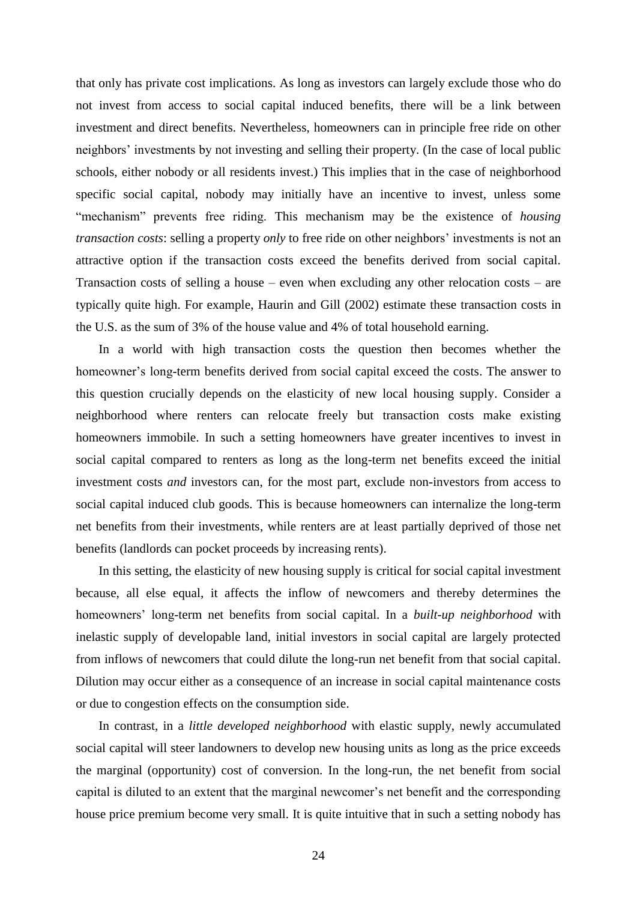that only has private cost implications. As long as investors can largely exclude those who do not invest from access to social capital induced benefits, there will be a link between investment and direct benefits. Nevertheless, homeowners can in principle free ride on other neighbors' investments by not investing and selling their property. (In the case of local public schools, either nobody or all residents invest.) This implies that in the case of neighborhood specific social capital, nobody may initially have an incentive to invest, unless some "mechanism" prevents free riding. This mechanism may be the existence of *housing transaction costs*: selling a property *only* to free ride on other neighbors' investments is not an attractive option if the transaction costs exceed the benefits derived from social capital. Transaction costs of selling a house – even when excluding any other relocation costs – are typically quite high. For example, Haurin and Gill (2002) estimate these transaction costs in the U.S. as the sum of 3% of the house value and 4% of total household earning.

In a world with high transaction costs the question then becomes whether the homeowner's long-term benefits derived from social capital exceed the costs. The answer to this question crucially depends on the elasticity of new local housing supply. Consider a neighborhood where renters can relocate freely but transaction costs make existing homeowners immobile. In such a setting homeowners have greater incentives to invest in social capital compared to renters as long as the long-term net benefits exceed the initial investment costs *and* investors can, for the most part, exclude non-investors from access to social capital induced club goods. This is because homeowners can internalize the long-term net benefits from their investments, while renters are at least partially deprived of those net benefits (landlords can pocket proceeds by increasing rents).

In this setting, the elasticity of new housing supply is critical for social capital investment because, all else equal, it affects the inflow of newcomers and thereby determines the homeowners' long-term net benefits from social capital. In a *built-up neighborhood* with inelastic supply of developable land, initial investors in social capital are largely protected from inflows of newcomers that could dilute the long-run net benefit from that social capital. Dilution may occur either as a consequence of an increase in social capital maintenance costs or due to congestion effects on the consumption side.

In contrast, in a *little developed neighborhood* with elastic supply, newly accumulated social capital will steer landowners to develop new housing units as long as the price exceeds the marginal (opportunity) cost of conversion. In the long-run, the net benefit from social capital is diluted to an extent that the marginal newcomer's net benefit and the corresponding house price premium become very small. It is quite intuitive that in such a setting nobody has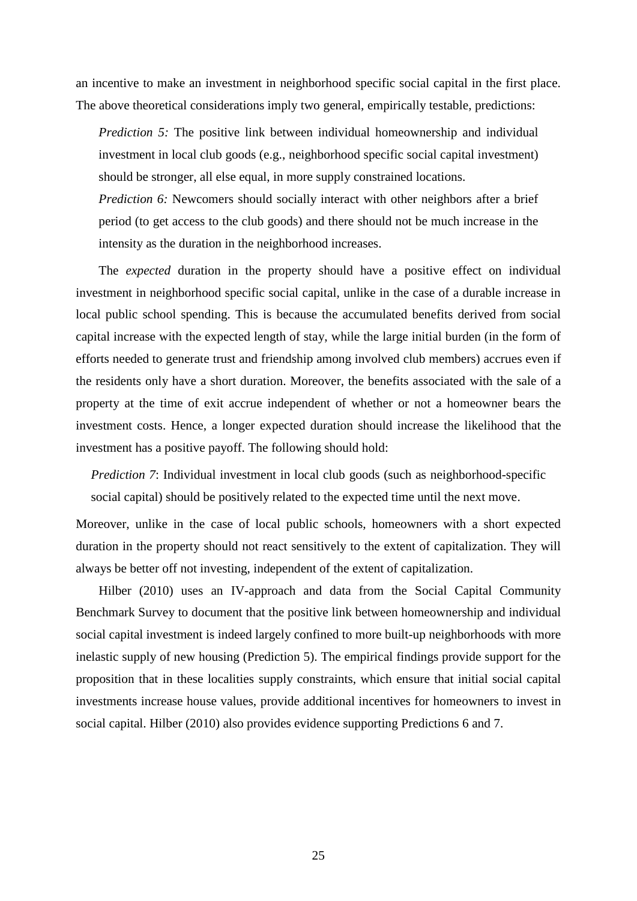an incentive to make an investment in neighborhood specific social capital in the first place. The above theoretical considerations imply two general, empirically testable, predictions:

*Prediction 5:* The positive link between individual homeownership and individual investment in local club goods (e.g., neighborhood specific social capital investment) should be stronger, all else equal, in more supply constrained locations.

*Prediction 6:* Newcomers should socially interact with other neighbors after a brief period (to get access to the club goods) and there should not be much increase in the intensity as the duration in the neighborhood increases.

The *expected* duration in the property should have a positive effect on individual investment in neighborhood specific social capital, unlike in the case of a durable increase in local public school spending. This is because the accumulated benefits derived from social capital increase with the expected length of stay, while the large initial burden (in the form of efforts needed to generate trust and friendship among involved club members) accrues even if the residents only have a short duration. Moreover, the benefits associated with the sale of a property at the time of exit accrue independent of whether or not a homeowner bears the investment costs. Hence, a longer expected duration should increase the likelihood that the investment has a positive payoff. The following should hold:

*Prediction 7*: Individual investment in local club goods (such as neighborhood-specific social capital) should be positively related to the expected time until the next move.

Moreover, unlike in the case of local public schools, homeowners with a short expected duration in the property should not react sensitively to the extent of capitalization. They will always be better off not investing, independent of the extent of capitalization.

Hilber (2010) uses an IV-approach and data from the Social Capital Community Benchmark Survey to document that the positive link between homeownership and individual social capital investment is indeed largely confined to more built-up neighborhoods with more inelastic supply of new housing (Prediction 5). The empirical findings provide support for the proposition that in these localities supply constraints, which ensure that initial social capital investments increase house values, provide additional incentives for homeowners to invest in social capital. Hilber (2010) also provides evidence supporting Predictions 6 and 7.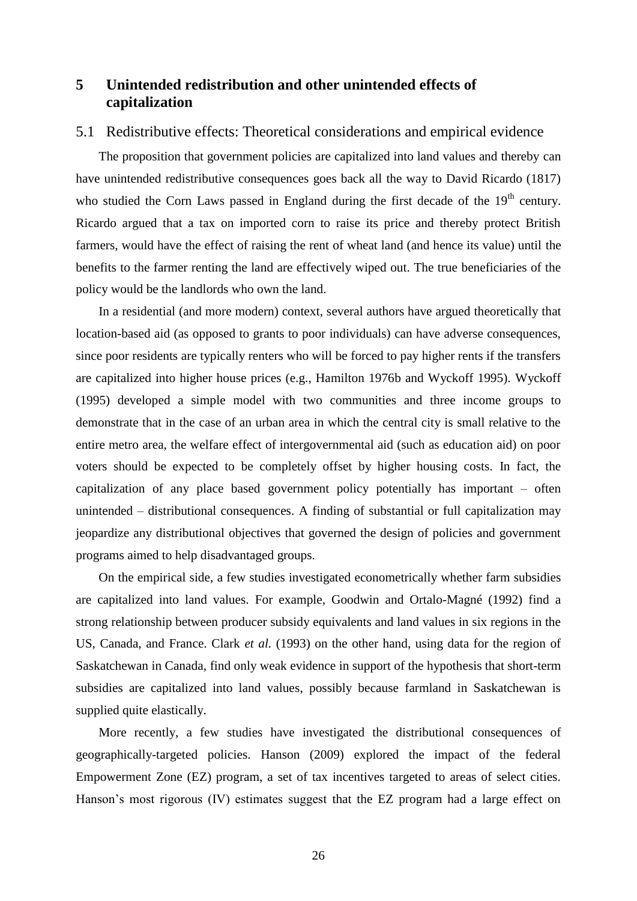### **5 Unintended redistribution and other unintended effects of capitalization**

#### 5.1 Redistributive effects: Theoretical considerations and empirical evidence

The proposition that government policies are capitalized into land values and thereby can have unintended redistributive consequences goes back all the way to David Ricardo (1817) who studied the Corn Laws passed in England during the first decade of the  $19<sup>th</sup>$  century. Ricardo argued that a tax on imported corn to raise its price and thereby protect British farmers, would have the effect of raising the rent of wheat land (and hence its value) until the benefits to the farmer renting the land are effectively wiped out. The true beneficiaries of the policy would be the landlords who own the land.

In a residential (and more modern) context, several authors have argued theoretically that location-based aid (as opposed to grants to poor individuals) can have adverse consequences, since poor residents are typically renters who will be forced to pay higher rents if the transfers are capitalized into higher house prices (e.g., Hamilton 1976b and Wyckoff 1995). Wyckoff (1995) developed a simple model with two communities and three income groups to demonstrate that in the case of an urban area in which the central city is small relative to the entire metro area, the welfare effect of intergovernmental aid (such as education aid) on poor voters should be expected to be completely offset by higher housing costs. In fact, the capitalization of any place based government policy potentially has important – often unintended – distributional consequences. A finding of substantial or full capitalization may jeopardize any distributional objectives that governed the design of policies and government programs aimed to help disadvantaged groups.

On the empirical side, a few studies investigated econometrically whether farm subsidies are capitalized into land values. For example, Goodwin and Ortalo-Magné (1992) find a strong relationship between producer subsidy equivalents and land values in six regions in the US, Canada, and France. Clark *et al.* (1993) on the other hand, using data for the region of Saskatchewan in Canada, find only weak evidence in support of the hypothesis that short-term subsidies are capitalized into land values, possibly because farmland in Saskatchewan is supplied quite elastically.

More recently, a few studies have investigated the distributional consequences of geographically-targeted policies. Hanson (2009) explored the impact of the federal Empowerment Zone (EZ) program, a set of tax incentives targeted to areas of select cities. Hanson's most rigorous (IV) estimates suggest that the EZ program had a large effect on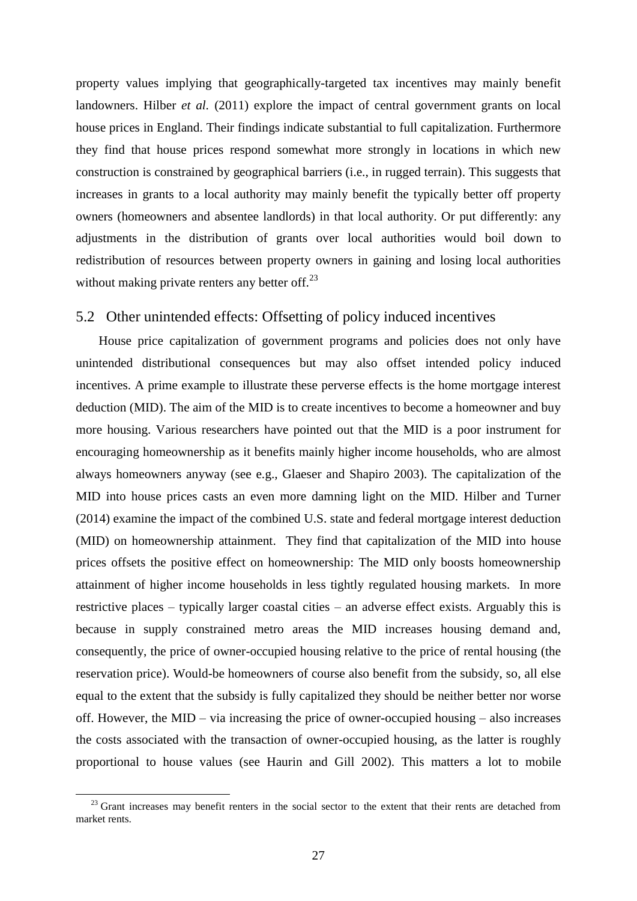property values implying that geographically-targeted tax incentives may mainly benefit landowners. Hilber *et al.* (2011) explore the impact of central government grants on local house prices in England. Their findings indicate substantial to full capitalization. Furthermore they find that house prices respond somewhat more strongly in locations in which new construction is constrained by geographical barriers (i.e., in rugged terrain). This suggests that increases in grants to a local authority may mainly benefit the typically better off property owners (homeowners and absentee landlords) in that local authority. Or put differently: any adjustments in the distribution of grants over local authorities would boil down to redistribution of resources between property owners in gaining and losing local authorities without making private renters any better off. $^{23}$ 

#### 5.2 Other unintended effects: Offsetting of policy induced incentives

House price capitalization of government programs and policies does not only have unintended distributional consequences but may also offset intended policy induced incentives. A prime example to illustrate these perverse effects is the home mortgage interest deduction (MID). The aim of the MID is to create incentives to become a homeowner and buy more housing. Various researchers have pointed out that the MID is a poor instrument for encouraging homeownership as it benefits mainly higher income households, who are almost always homeowners anyway (see e.g., Glaeser and Shapiro 2003). The capitalization of the MID into house prices casts an even more damning light on the MID. Hilber and Turner (2014) examine the impact of the combined U.S. state and federal mortgage interest deduction (MID) on homeownership attainment. They find that capitalization of the MID into house prices offsets the positive effect on homeownership: The MID only boosts homeownership attainment of higher income households in less tightly regulated housing markets. In more restrictive places – typically larger coastal cities – an adverse effect exists. Arguably this is because in supply constrained metro areas the MID increases housing demand and, consequently, the price of owner-occupied housing relative to the price of rental housing (the reservation price). Would-be homeowners of course also benefit from the subsidy, so, all else equal to the extent that the subsidy is fully capitalized they should be neither better nor worse off. However, the MID – via increasing the price of owner-occupied housing – also increases the costs associated with the transaction of owner-occupied housing, as the latter is roughly proportional to house values (see Haurin and Gill 2002). This matters a lot to mobile

<sup>&</sup>lt;sup>23</sup> Grant increases may benefit renters in the social sector to the extent that their rents are detached from market rents.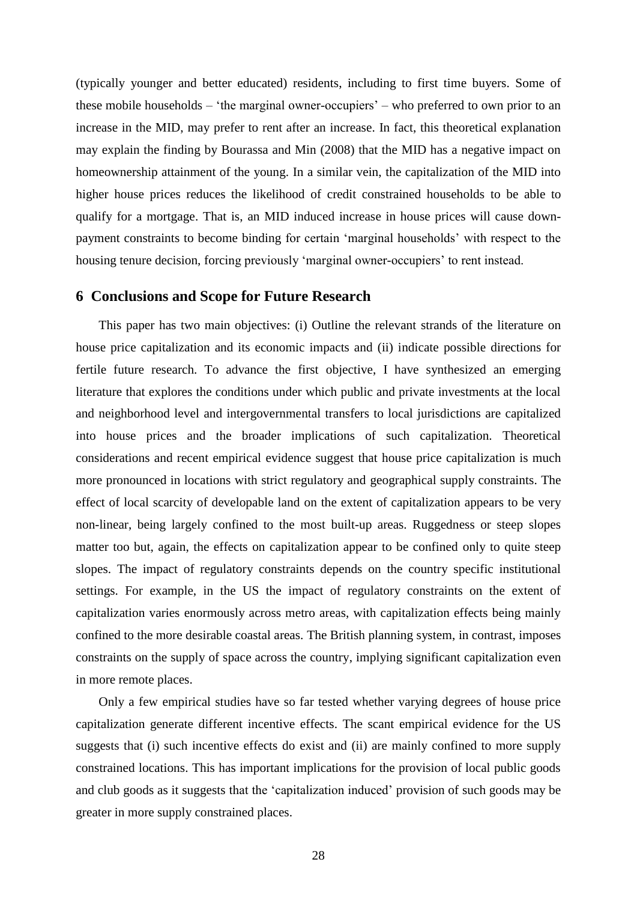(typically younger and better educated) residents, including to first time buyers. Some of these mobile households – 'the marginal owner-occupiers' – who preferred to own prior to an increase in the MID, may prefer to rent after an increase. In fact, this theoretical explanation may explain the finding by Bourassa and Min (2008) that the MID has a negative impact on homeownership attainment of the young. In a similar vein, the capitalization of the MID into higher house prices reduces the likelihood of credit constrained households to be able to qualify for a mortgage. That is, an MID induced increase in house prices will cause downpayment constraints to become binding for certain 'marginal households' with respect to the housing tenure decision, forcing previously 'marginal owner-occupiers' to rent instead.

#### **6 Conclusions and Scope for Future Research**

This paper has two main objectives: (i) Outline the relevant strands of the literature on house price capitalization and its economic impacts and (ii) indicate possible directions for fertile future research. To advance the first objective, I have synthesized an emerging literature that explores the conditions under which public and private investments at the local and neighborhood level and intergovernmental transfers to local jurisdictions are capitalized into house prices and the broader implications of such capitalization. Theoretical considerations and recent empirical evidence suggest that house price capitalization is much more pronounced in locations with strict regulatory and geographical supply constraints. The effect of local scarcity of developable land on the extent of capitalization appears to be very non-linear, being largely confined to the most built-up areas. Ruggedness or steep slopes matter too but, again, the effects on capitalization appear to be confined only to quite steep slopes. The impact of regulatory constraints depends on the country specific institutional settings. For example, in the US the impact of regulatory constraints on the extent of capitalization varies enormously across metro areas, with capitalization effects being mainly confined to the more desirable coastal areas. The British planning system, in contrast, imposes constraints on the supply of space across the country, implying significant capitalization even in more remote places.

Only a few empirical studies have so far tested whether varying degrees of house price capitalization generate different incentive effects. The scant empirical evidence for the US suggests that (i) such incentive effects do exist and (ii) are mainly confined to more supply constrained locations. This has important implications for the provision of local public goods and club goods as it suggests that the 'capitalization induced' provision of such goods may be greater in more supply constrained places.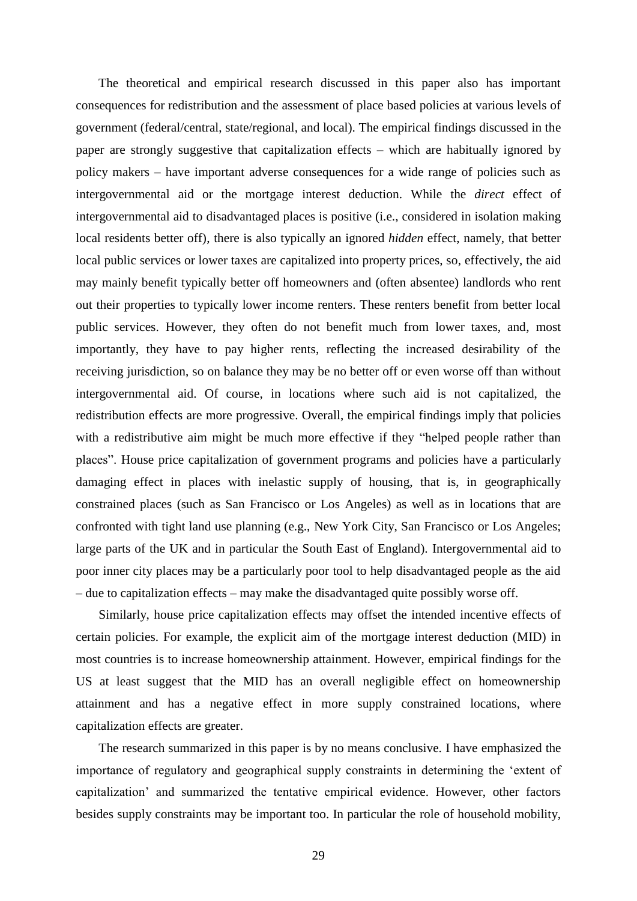The theoretical and empirical research discussed in this paper also has important consequences for redistribution and the assessment of place based policies at various levels of government (federal/central, state/regional, and local). The empirical findings discussed in the paper are strongly suggestive that capitalization effects – which are habitually ignored by policy makers – have important adverse consequences for a wide range of policies such as intergovernmental aid or the mortgage interest deduction. While the *direct* effect of intergovernmental aid to disadvantaged places is positive (i.e., considered in isolation making local residents better off), there is also typically an ignored *hidden* effect, namely, that better local public services or lower taxes are capitalized into property prices, so, effectively, the aid may mainly benefit typically better off homeowners and (often absentee) landlords who rent out their properties to typically lower income renters. These renters benefit from better local public services. However, they often do not benefit much from lower taxes, and, most importantly, they have to pay higher rents, reflecting the increased desirability of the receiving jurisdiction, so on balance they may be no better off or even worse off than without intergovernmental aid. Of course, in locations where such aid is not capitalized, the redistribution effects are more progressive. Overall, the empirical findings imply that policies with a redistributive aim might be much more effective if they "helped people rather than places". House price capitalization of government programs and policies have a particularly damaging effect in places with inelastic supply of housing, that is, in geographically constrained places (such as San Francisco or Los Angeles) as well as in locations that are confronted with tight land use planning (e.g., New York City, San Francisco or Los Angeles; large parts of the UK and in particular the South East of England). Intergovernmental aid to poor inner city places may be a particularly poor tool to help disadvantaged people as the aid – due to capitalization effects – may make the disadvantaged quite possibly worse off.

Similarly, house price capitalization effects may offset the intended incentive effects of certain policies. For example, the explicit aim of the mortgage interest deduction (MID) in most countries is to increase homeownership attainment. However, empirical findings for the US at least suggest that the MID has an overall negligible effect on homeownership attainment and has a negative effect in more supply constrained locations, where capitalization effects are greater.

The research summarized in this paper is by no means conclusive. I have emphasized the importance of regulatory and geographical supply constraints in determining the 'extent of capitalization' and summarized the tentative empirical evidence. However, other factors besides supply constraints may be important too. In particular the role of household mobility,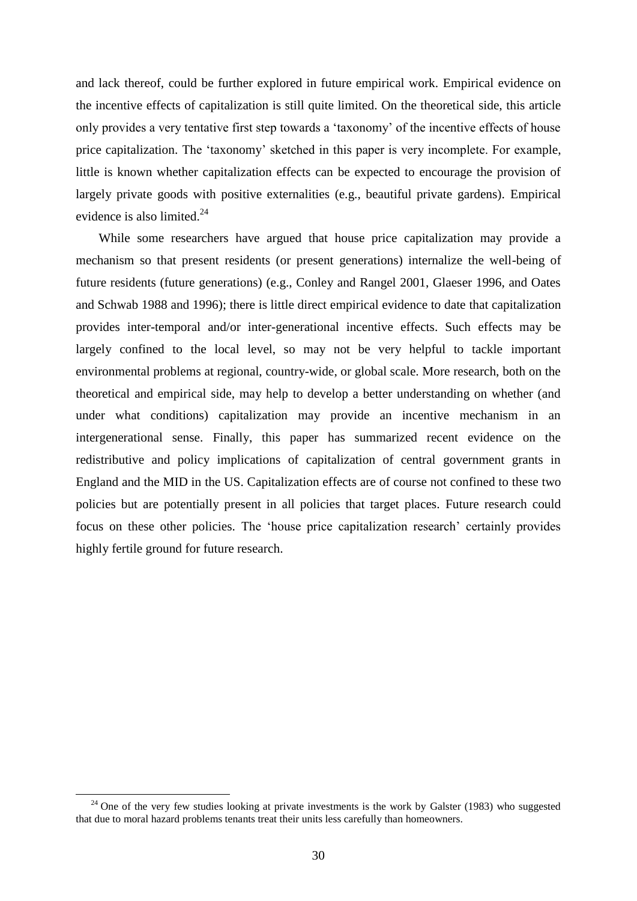and lack thereof, could be further explored in future empirical work. Empirical evidence on the incentive effects of capitalization is still quite limited. On the theoretical side, this article only provides a very tentative first step towards a 'taxonomy' of the incentive effects of house price capitalization. The 'taxonomy' sketched in this paper is very incomplete. For example, little is known whether capitalization effects can be expected to encourage the provision of largely private goods with positive externalities (e.g., beautiful private gardens). Empirical evidence is also limited.<sup>24</sup>

While some researchers have argued that house price capitalization may provide a mechanism so that present residents (or present generations) internalize the well-being of future residents (future generations) (e.g., Conley and Rangel 2001, Glaeser 1996, and Oates and Schwab 1988 and 1996); there is little direct empirical evidence to date that capitalization provides inter-temporal and/or inter-generational incentive effects. Such effects may be largely confined to the local level, so may not be very helpful to tackle important environmental problems at regional, country-wide, or global scale. More research, both on the theoretical and empirical side, may help to develop a better understanding on whether (and under what conditions) capitalization may provide an incentive mechanism in an intergenerational sense. Finally, this paper has summarized recent evidence on the redistributive and policy implications of capitalization of central government grants in England and the MID in the US. Capitalization effects are of course not confined to these two policies but are potentially present in all policies that target places. Future research could focus on these other policies. The 'house price capitalization research' certainly provides highly fertile ground for future research.

 $24$  One of the very few studies looking at private investments is the work by Galster (1983) who suggested that due to moral hazard problems tenants treat their units less carefully than homeowners.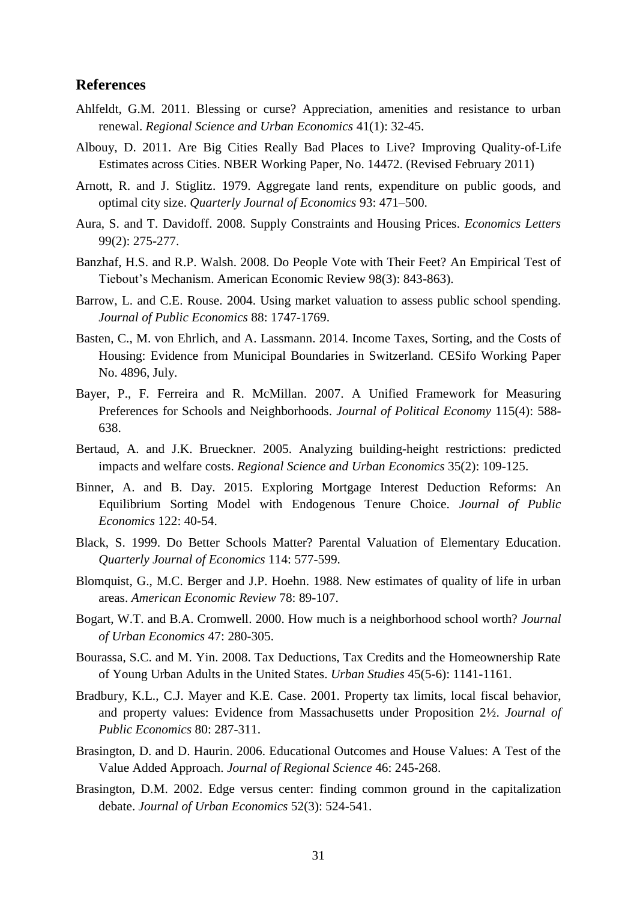#### **References**

- Ahlfeldt, G.M. 2011. Blessing or curse? Appreciation, amenities and resistance to urban renewal. *Regional Science and Urban Economics* 41(1): 32-45.
- Albouy, D. 2011. Are Big Cities Really Bad Places to Live? Improving Quality-of-Life Estimates across Cities. NBER Working Paper, No. 14472. (Revised February 2011)
- Arnott, R. and J. Stiglitz. 1979. Aggregate land rents, expenditure on public goods, and optimal city size. *Quarterly Journal of Economics* 93: 471–500.
- Aura, S. and T. Davidoff. 2008. Supply Constraints and Housing Prices. *Economics Letters* 99(2): 275-277.
- Banzhaf, H.S. and R.P. Walsh. 2008. Do People Vote with Their Feet? An Empirical Test of Tiebout's Mechanism. American Economic Review 98(3): 843-863).
- Barrow, L. and C.E. Rouse. 2004. Using market valuation to assess public school spending. *Journal of Public Economics* 88: 1747-1769.
- Basten, C., M. von Ehrlich, and A. Lassmann. 2014. Income Taxes, Sorting, and the Costs of Housing: Evidence from Municipal Boundaries in Switzerland. CESifo Working Paper No. 4896, July.
- Bayer, P., F. Ferreira and R. McMillan. 2007. A Unified Framework for Measuring Preferences for Schools and Neighborhoods. *Journal of Political Economy* 115(4): 588- 638.
- Bertaud, A. and J.K. Brueckner. 2005. Analyzing building-height restrictions: predicted impacts and welfare costs. *Regional Science and Urban Economics* 35(2): 109-125.
- Binner, A. and B. Day. 2015. Exploring Mortgage Interest Deduction Reforms: An Equilibrium Sorting Model with Endogenous Tenure Choice. *Journal of Public Economics* 122: 40-54.
- Black, S. 1999. Do Better Schools Matter? Parental Valuation of Elementary Education. *Quarterly Journal of Economics* 114: 577-599.
- Blomquist, G., M.C. Berger and J.P. Hoehn. 1988. New estimates of quality of life in urban areas. *American Economic Review* 78: 89-107.
- Bogart, W.T. and B.A. Cromwell. 2000. How much is a neighborhood school worth? *Journal of Urban Economics* 47: 280-305.
- Bourassa, S.C. and M. Yin. 2008. Tax Deductions, Tax Credits and the Homeownership Rate of Young Urban Adults in the United States. *Urban Studies* 45(5-6): 1141-1161.
- Bradbury, K.L., C.J. Mayer and K.E. Case. 2001. Property tax limits, local fiscal behavior, and property values: Evidence from Massachusetts under Proposition 2½. *Journal of Public Economics* 80: 287-311.
- Brasington, D. and D. Haurin. 2006. Educational Outcomes and House Values: A Test of the Value Added Approach. *Journal of Regional Science* 46: 245-268.
- Brasington, D.M. 2002. Edge versus center: finding common ground in the capitalization debate. *Journal of Urban Economics* 52(3): 524-541.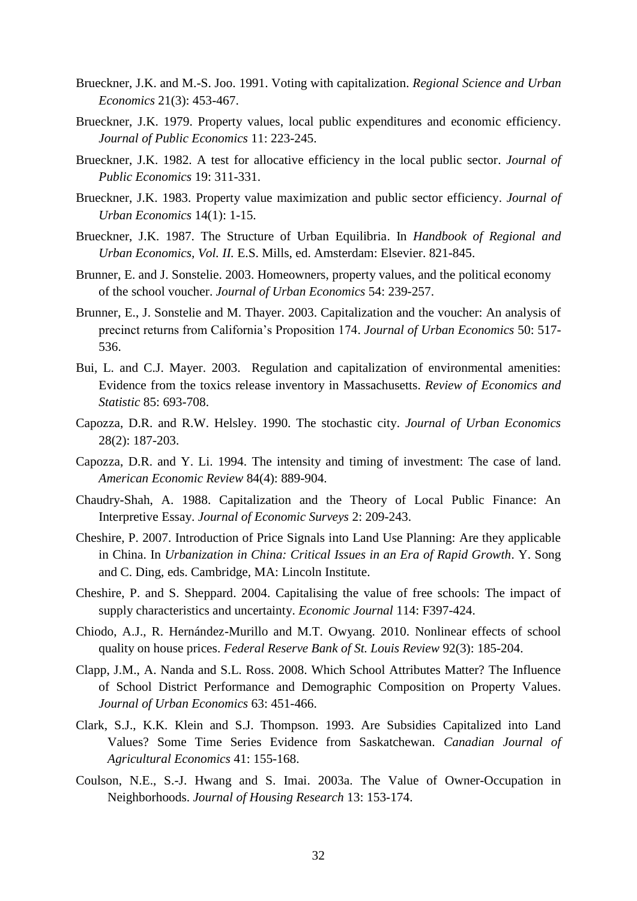- Brueckner, J.K. and M.-S. Joo. 1991. Voting with capitalization. *Regional Science and Urban Economics* 21(3): 453-467.
- Brueckner, J.K. 1979. Property values, local public expenditures and economic efficiency. *Journal of Public Economics* 11: 223-245.
- Brueckner, J.K. 1982. A test for allocative efficiency in the local public sector. *Journal of Public Economics* 19: 311-331.
- Brueckner, J.K. 1983. Property value maximization and public sector efficiency. *Journal of Urban Economics* 14(1): 1-15.
- Brueckner, J.K. 1987. The Structure of Urban Equilibria. In *Handbook of Regional and Urban Economics, Vol. II.* E.S. Mills, ed. Amsterdam: Elsevier. 821-845.
- Brunner, E. and J. Sonstelie. 2003. Homeowners, property values, and the political economy of the school voucher. *Journal of Urban Economics* 54: 239-257.
- Brunner, E., J. Sonstelie and M. Thayer. 2003. Capitalization and the voucher: An analysis of precinct returns from California's Proposition 174. *Journal of Urban Economics* 50: 517- 536.
- Bui, L. and C.J. Mayer. 2003. Regulation and capitalization of environmental amenities: Evidence from the toxics release inventory in Massachusetts. *Review of Economics and Statistic* 85: 693-708.
- Capozza, D.R. and R.W. Helsley. 1990. The stochastic city. *Journal of Urban Economics* 28(2): 187-203.
- Capozza, D.R. and Y. Li. 1994. The intensity and timing of investment: The case of land. *American Economic Review* 84(4): 889-904.
- Chaudry-Shah, A. 1988. Capitalization and the Theory of Local Public Finance: An Interpretive Essay. *Journal of Economic Surveys* 2: 209-243.
- Cheshire, P. 2007. Introduction of Price Signals into Land Use Planning: Are they applicable in China. In *Urbanization in China: Critical Issues in an Era of Rapid Growth*. Y. Song and C. Ding, eds. Cambridge, MA: Lincoln Institute.
- Cheshire, P. and S. Sheppard. 2004. Capitalising the value of free schools: The impact of supply characteristics and uncertainty. *Economic Journal* 114: F397-424.
- Chiodo, A.J., R. Hernández-Murillo and M.T. Owyang. 2010. Nonlinear effects of school quality on house prices. *Federal Reserve Bank of St. Louis Review* 92(3): 185-204.
- Clapp, J.M., A. Nanda and S.L. Ross. 2008. Which School Attributes Matter? The Influence of School District Performance and Demographic Composition on Property Values. *Journal of Urban Economics* 63: 451-466.
- Clark, S.J., K.K. Klein and S.J. Thompson. 1993. Are Subsidies Capitalized into Land Values? Some Time Series Evidence from Saskatchewan. *Canadian Journal of Agricultural Economics* 41: 155-168.
- Coulson, N.E., S.-J. Hwang and S. Imai. 2003a. The Value of Owner-Occupation in Neighborhoods. *Journal of Housing Research* 13: 153-174.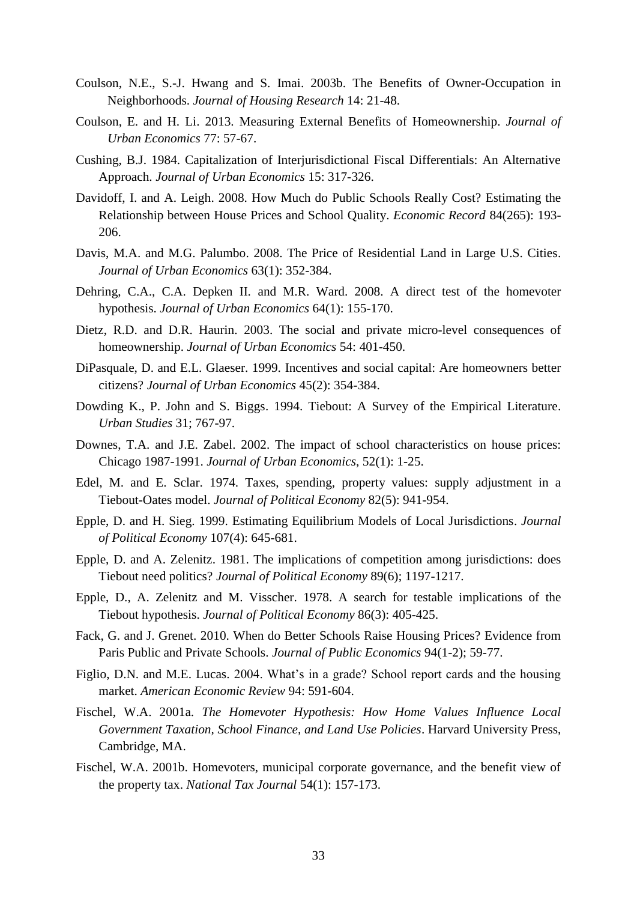- Coulson, N.E., S.-J. Hwang and S. Imai. 2003b. The Benefits of Owner-Occupation in Neighborhoods. *Journal of Housing Research* 14: 21-48.
- Coulson, E. and H. Li. 2013. Measuring External Benefits of Homeownership. *Journal of Urban Economics* 77: 57-67.
- Cushing, B.J. 1984. Capitalization of Interjurisdictional Fiscal Differentials: An Alternative Approach. *Journal of Urban Economics* 15: 317-326.
- Davidoff, I. and A. Leigh. 2008. How Much do Public Schools Really Cost? Estimating the Relationship between House Prices and School Quality. *Economic Record* 84(265): 193- 206.
- Davis, M.A. and M.G. Palumbo. 2008. The Price of Residential Land in Large U.S. Cities. *Journal of Urban Economics* 63(1): 352-384.
- Dehring, C.A., C.A. Depken II. and M.R. Ward. 2008. A direct test of the homevoter hypothesis. *Journal of Urban Economics* 64(1): 155-170.
- Dietz, R.D. and D.R. Haurin. 2003. The social and private micro-level consequences of homeownership. *Journal of Urban Economics* 54: 401-450.
- DiPasquale, D. and E.L. Glaeser. 1999. Incentives and social capital: Are homeowners better citizens? *Journal of Urban Economics* 45(2): 354-384.
- Dowding K., P. John and S. Biggs. 1994. Tiebout: A Survey of the Empirical Literature. *Urban Studies* 31; 767-97.
- Downes, T.A. and J.E. Zabel. 2002. The impact of school characteristics on house prices: Chicago 1987-1991. *Journal of Urban Economics*, 52(1): 1-25.
- Edel, M. and E. Sclar. 1974. Taxes, spending, property values: supply adjustment in a Tiebout-Oates model. *Journal of Political Economy* 82(5): 941-954.
- Epple, D. and H. Sieg. 1999. Estimating Equilibrium Models of Local Jurisdictions. *Journal of Political Economy* 107(4): 645-681.
- Epple, D. and A. Zelenitz. 1981. The implications of competition among jurisdictions: does Tiebout need politics? *Journal of Political Economy* 89(6); 1197-1217.
- Epple, D., A. Zelenitz and M. Visscher. 1978. A search for testable implications of the Tiebout hypothesis. *Journal of Political Economy* 86(3): 405-425.
- Fack, G. and J. Grenet. 2010. When do Better Schools Raise Housing Prices? Evidence from Paris Public and Private Schools. *Journal of Public Economics* 94(1-2); 59-77.
- Figlio, D.N. and M.E. Lucas. 2004. What's in a grade? School report cards and the housing market. *American Economic Review* 94: 591-604.
- Fischel, W.A. 2001a. *The Homevoter Hypothesis: How Home Values Influence Local Government Taxation, School Finance, and Land Use Policies*. Harvard University Press, Cambridge, MA.
- Fischel, W.A. 2001b. Homevoters, municipal corporate governance, and the benefit view of the property tax. *National Tax Journal* 54(1): 157-173.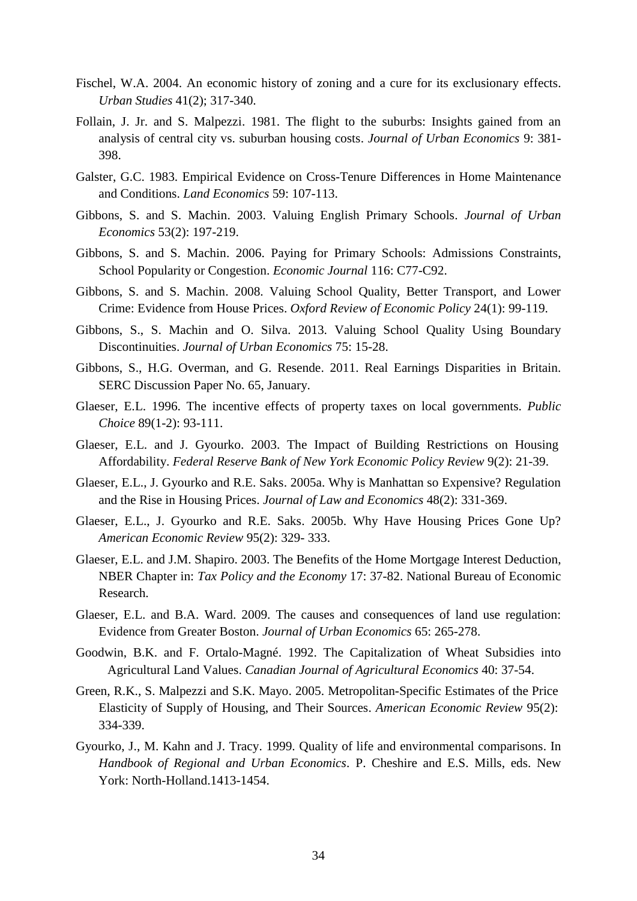- Fischel, W.A. 2004. An economic history of zoning and a cure for its exclusionary effects. *Urban Studies* 41(2); 317-340.
- Follain, J. Jr. and S. Malpezzi. 1981. The flight to the suburbs: Insights gained from an analysis of central city vs. suburban housing costs. *Journal of Urban Economics* 9: 381- 398.
- Galster, G.C. 1983. Empirical Evidence on Cross-Tenure Differences in Home Maintenance and Conditions. *Land Economics* 59: 107-113.
- Gibbons, S. and S. Machin. 2003. Valuing English Primary Schools. *Journal of Urban Economics* 53(2): 197-219.
- Gibbons, S. and S. Machin. 2006. Paying for Primary Schools: Admissions Constraints, School Popularity or Congestion. *Economic Journal* 116: C77-C92.
- Gibbons, S. and S. Machin. 2008. Valuing School Quality, Better Transport, and Lower Crime: Evidence from House Prices. *Oxford Review of Economic Policy* 24(1): 99-119.
- Gibbons, S., S. Machin and O. Silva. 2013. Valuing School Quality Using Boundary Discontinuities. *Journal of Urban Economics* 75: 15-28.
- Gibbons, S., H.G. Overman, and G. Resende. 2011. Real Earnings Disparities in Britain. SERC Discussion Paper No. 65, January.
- Glaeser, E.L. 1996. The incentive effects of property taxes on local governments. *Public Choice* 89(1-2): 93-111.
- Glaeser, E.L. and J. Gyourko. 2003. The Impact of Building Restrictions on Housing Affordability. *Federal Reserve Bank of New York Economic Policy Review* 9(2): 21-39.
- Glaeser, E.L., J. Gyourko and R.E. Saks. 2005a. Why is Manhattan so Expensive? Regulation and the Rise in Housing Prices. *Journal of Law and Economics* 48(2): 331-369.
- Glaeser, E.L., J. Gyourko and R.E. Saks. 2005b. Why Have Housing Prices Gone Up? *American Economic Review* 95(2): 329- 333.
- Glaeser, E.L. and J.M. Shapiro. 2003. The Benefits of the Home Mortgage Interest Deduction, NBER Chapter in: *Tax Policy and the Economy* 17: 37-82. National Bureau of Economic Research.
- Glaeser, E.L. and B.A. Ward. 2009. The causes and consequences of land use regulation: Evidence from Greater Boston. *Journal of Urban Economics* 65: 265-278.
- Goodwin, B.K. and F. Ortalo-Magné. 1992. The Capitalization of Wheat Subsidies into Agricultural Land Values. *Canadian Journal of Agricultural Economics* 40: 37-54.
- Green, R.K., S. Malpezzi and S.K. Mayo. 2005. Metropolitan-Specific Estimates of the Price Elasticity of Supply of Housing, and Their Sources. *American Economic Review* 95(2): 334-339.
- Gyourko, J., M. Kahn and J. Tracy. 1999. Quality of life and environmental comparisons. In *Handbook of Regional and Urban Economics*. P. Cheshire and E.S. Mills, eds. New York: North-Holland.1413-1454.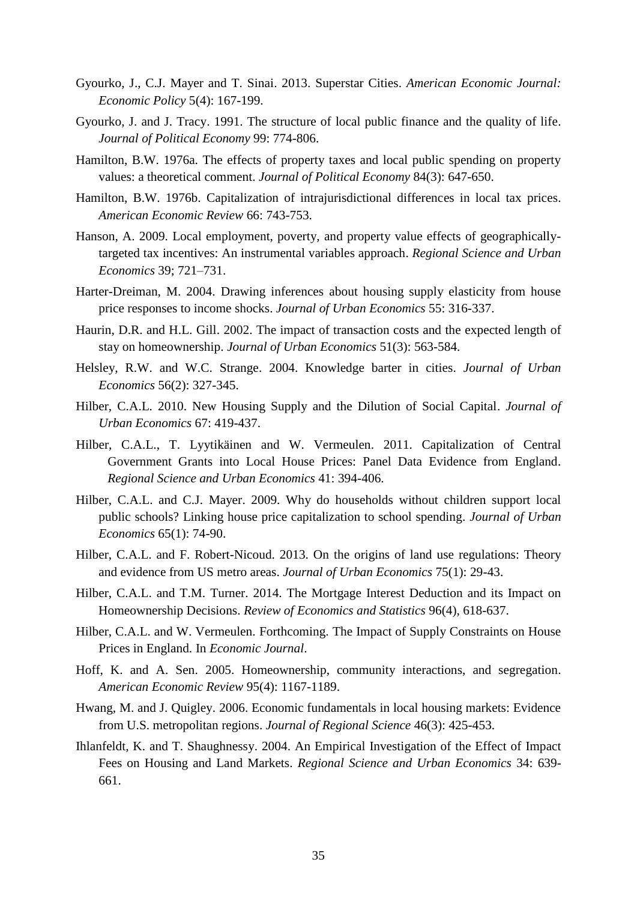- Gyourko, J., C.J. Mayer and T. Sinai. 2013. Superstar Cities. *American Economic Journal: Economic Policy* 5(4): 167-199.
- Gyourko, J. and J. Tracy. 1991. The structure of local public finance and the quality of life. *Journal of Political Economy* 99: 774-806.
- Hamilton, B.W. 1976a. The effects of property taxes and local public spending on property values: a theoretical comment. *Journal of Political Economy* 84(3): 647-650.
- Hamilton, B.W. 1976b. Capitalization of intrajurisdictional differences in local tax prices. *American Economic Review* 66: 743-753.
- Hanson, A. 2009. Local employment, poverty, and property value effects of geographicallytargeted tax incentives: An instrumental variables approach. *Regional Science and Urban Economics* 39; 721–731.
- Harter-Dreiman, M. 2004. Drawing inferences about housing supply elasticity from house price responses to income shocks. *Journal of Urban Economics* 55: 316-337.
- Haurin, D.R. and H.L. Gill. 2002. The impact of transaction costs and the expected length of stay on homeownership. *Journal of Urban Economics* 51(3): 563-584.
- Helsley, R.W. and W.C. Strange. 2004. Knowledge barter in cities. *Journal of Urban Economics* 56(2): 327-345.
- Hilber, C.A.L. 2010. New Housing Supply and the Dilution of Social Capital. *Journal of Urban Economics* 67: 419-437.
- Hilber, C.A.L., T. Lyytikäinen and W. Vermeulen. 2011. Capitalization of Central Government Grants into Local House Prices: Panel Data Evidence from England. *Regional Science and Urban Economics* 41: 394-406.
- Hilber, C.A.L. and C.J. Mayer. 2009. Why do households without children support local public schools? Linking house price capitalization to school spending. *Journal of Urban Economics* 65(1): 74-90.
- Hilber, C.A.L. and F. Robert-Nicoud. 2013. On the origins of land use regulations: Theory and evidence from US metro areas. *Journal of Urban Economics* 75(1): 29-43.
- Hilber, C.A.L. and T.M. Turner. 2014. The Mortgage Interest Deduction and its Impact on Homeownership Decisions. *Review of Economics and Statistics* 96(4), 618-637.
- Hilber, C.A.L. and W. Vermeulen. Forthcoming. The Impact of Supply Constraints on House Prices in England. In *Economic Journal*.
- Hoff, K. and A. Sen. 2005. Homeownership, community interactions, and segregation. *American Economic Review* 95(4): 1167-1189.
- Hwang, M. and J. Quigley. 2006. Economic fundamentals in local housing markets: Evidence from U.S. metropolitan regions. *Journal of Regional Science* 46(3): 425-453.
- Ihlanfeldt, K. and T. Shaughnessy. 2004. An Empirical Investigation of the Effect of Impact Fees on Housing and Land Markets. *Regional Science and Urban Economics* 34: 639- 661.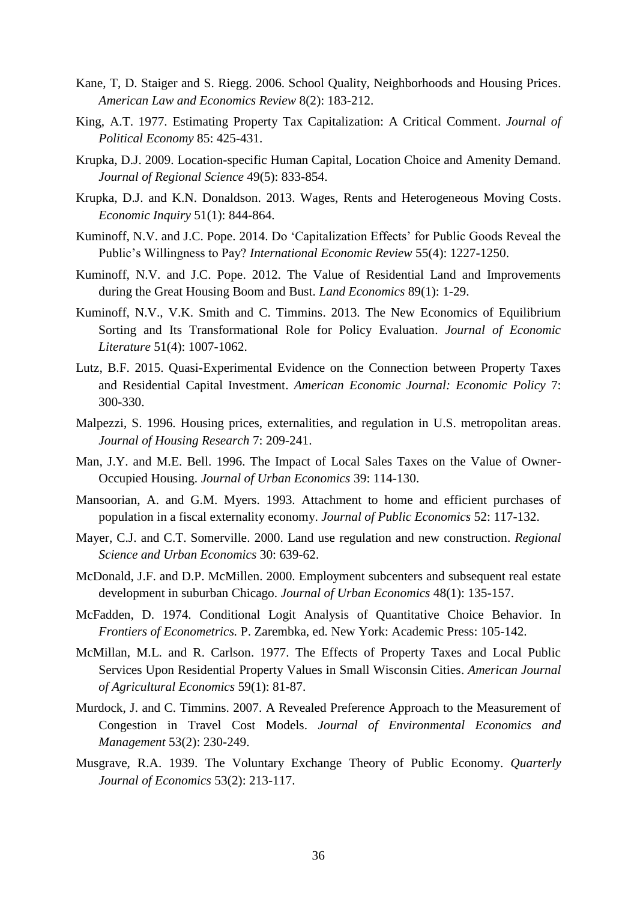- Kane, T, D. Staiger and S. Riegg. 2006. School Quality, Neighborhoods and Housing Prices. *American Law and Economics Review* 8(2): 183-212.
- King, A.T. 1977. Estimating Property Tax Capitalization: A Critical Comment. *Journal of Political Economy* 85: 425-431.
- Krupka, D.J. 2009. Location-specific Human Capital, Location Choice and Amenity Demand. *Journal of Regional Science* 49(5): 833-854.
- Krupka, D.J. and K.N. Donaldson. 2013. Wages, Rents and Heterogeneous Moving Costs. *Economic Inquiry* 51(1): 844-864.
- Kuminoff, N.V. and J.C. Pope. 2014. Do 'Capitalization Effects' for Public Goods Reveal the Public's Willingness to Pay? *International Economic Review* 55(4): 1227-1250.
- Kuminoff, N.V. and J.C. Pope. 2012. The Value of Residential Land and Improvements during the Great Housing Boom and Bust. *Land Economics* 89(1): 1-29.
- Kuminoff, N.V., V.K. Smith and C. Timmins. 2013. The New Economics of Equilibrium Sorting and Its Transformational Role for Policy Evaluation. *Journal of Economic Literature* 51(4): 1007-1062.
- Lutz, B.F. 2015. Quasi-Experimental Evidence on the Connection between Property Taxes and Residential Capital Investment. *American Economic Journal: Economic Policy* 7: 300-330.
- Malpezzi, S. 1996. Housing prices, externalities, and regulation in U.S. metropolitan areas. *Journal of Housing Research* 7: 209-241.
- Man, J.Y. and M.E. Bell. 1996. The Impact of Local Sales Taxes on the Value of Owner-Occupied Housing. *Journal of Urban Economics* 39: 114-130.
- Mansoorian, A. and G.M. Myers. 1993. Attachment to home and efficient purchases of population in a fiscal externality economy. *Journal of Public Economics* 52: 117-132.
- Mayer, C.J. and C.T. Somerville. 2000. Land use regulation and new construction. *Regional Science and Urban Economics* 30: 639-62.
- McDonald, J.F. and D.P. McMillen. 2000. Employment subcenters and subsequent real estate development in suburban Chicago. *Journal of Urban Economics* 48(1): 135-157.
- McFadden, D. 1974. Conditional Logit Analysis of Quantitative Choice Behavior. In *Frontiers of Econometrics.* P. Zarembka, ed. New York: Academic Press: 105-142.
- McMillan, M.L. and R. Carlson. 1977. The Effects of Property Taxes and Local Public Services Upon Residential Property Values in Small Wisconsin Cities. *American Journal of Agricultural Economics* 59(1): 81-87.
- Murdock, J. and C. Timmins. 2007. A Revealed Preference Approach to the Measurement of Congestion in Travel Cost Models. *Journal of Environmental Economics and Management* 53(2): 230-249.
- Musgrave, R.A. 1939. The Voluntary Exchange Theory of Public Economy. *Quarterly Journal of Economics* 53(2): 213-117.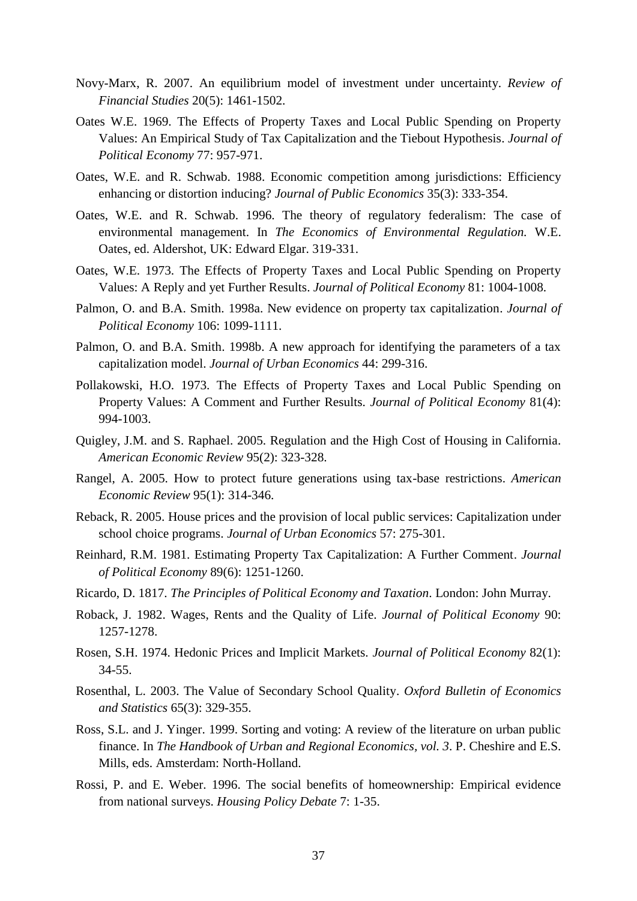- Novy-Marx, R. 2007. An equilibrium model of investment under uncertainty. *Review of Financial Studies* 20(5): 1461-1502.
- Oates W.E. 1969. The Effects of Property Taxes and Local Public Spending on Property Values: An Empirical Study of Tax Capitalization and the Tiebout Hypothesis. *Journal of Political Economy* 77: 957-971.
- Oates, W.E. and R. Schwab. 1988. Economic competition among jurisdictions: Efficiency enhancing or distortion inducing? *Journal of Public Economics* 35(3): 333-354.
- Oates, W.E. and R. Schwab. 1996. The theory of regulatory federalism: The case of environmental management. In *The Economics of Environmental Regulation.* W.E. Oates, ed. Aldershot, UK: Edward Elgar. 319-331.
- Oates, W.E. 1973. The Effects of Property Taxes and Local Public Spending on Property Values: A Reply and yet Further Results. *Journal of Political Economy* 81: 1004-1008.
- Palmon, O. and B.A. Smith. 1998a. New evidence on property tax capitalization. *Journal of Political Economy* 106: 1099-1111.
- Palmon, O. and B.A. Smith. 1998b. A new approach for identifying the parameters of a tax capitalization model. *Journal of Urban Economics* 44: 299-316.
- Pollakowski, H.O. 1973. The Effects of Property Taxes and Local Public Spending on Property Values: A Comment and Further Results. *Journal of Political Economy* 81(4): 994-1003.
- Quigley, J.M. and S. Raphael. 2005. Regulation and the High Cost of Housing in California. *American Economic Review* 95(2): 323-328.
- Rangel, A. 2005. How to protect future generations using tax-base restrictions. *American Economic Review* 95(1): 314-346.
- Reback, R. 2005. House prices and the provision of local public services: Capitalization under school choice programs. *Journal of Urban Economics* 57: 275-301.
- Reinhard, R.M. 1981. Estimating Property Tax Capitalization: A Further Comment. *Journal of Political Economy* 89(6): 1251-1260.
- Ricardo, D. 1817. *The Principles of Political Economy and Taxation*. London: John Murray.
- Roback, J. 1982. Wages, Rents and the Quality of Life. *Journal of Political Economy* 90: 1257-1278.
- Rosen, S.H. 1974. Hedonic Prices and Implicit Markets. *Journal of Political Economy* 82(1): 34-55.
- Rosenthal, L. 2003. The Value of Secondary School Quality. *Oxford Bulletin of Economics and Statistics* 65(3): 329-355.
- Ross, S.L. and J. Yinger. 1999. Sorting and voting: A review of the literature on urban public finance. In *The Handbook of Urban and Regional Economics, vol. 3*. P. Cheshire and E.S. Mills, eds. Amsterdam: North-Holland.
- Rossi, P. and E. Weber. 1996. The social benefits of homeownership: Empirical evidence from national surveys. *Housing Policy Debate* 7: 1-35.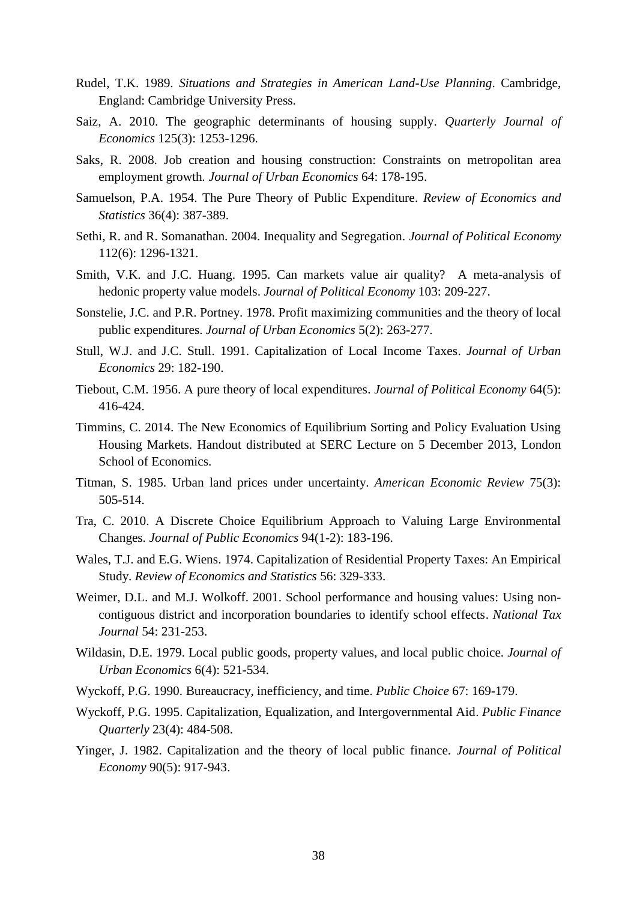- Rudel, T.K. 1989. *Situations and Strategies in American Land-Use Planning*. Cambridge, England: Cambridge University Press.
- Saiz, A. 2010. The geographic determinants of housing supply. *Quarterly Journal of Economics* 125(3): 1253-1296.
- Saks, R. 2008. Job creation and housing construction: Constraints on metropolitan area employment growth*. Journal of Urban Economics* 64: 178-195.
- Samuelson, P.A. 1954. The Pure Theory of Public Expenditure. *Review of Economics and Statistics* 36(4): 387-389.
- Sethi, R. and R. Somanathan. 2004. Inequality and Segregation. *Journal of Political Economy* 112(6): 1296-1321.
- Smith, V.K. and J.C. Huang. 1995. Can markets value air quality? A meta-analysis of hedonic property value models. *Journal of Political Economy* 103: 209-227.
- Sonstelie, J.C. and P.R. Portney. 1978. Profit maximizing communities and the theory of local public expenditures. *Journal of Urban Economics* 5(2): 263-277.
- Stull, W.J. and J.C. Stull. 1991. Capitalization of Local Income Taxes. *Journal of Urban Economics* 29: 182-190.
- Tiebout, C.M. 1956. A pure theory of local expenditures. *Journal of Political Economy* 64(5): 416-424.
- Timmins, C. 2014. The New Economics of Equilibrium Sorting and Policy Evaluation Using Housing Markets. Handout distributed at SERC Lecture on 5 December 2013, London School of Economics.
- Titman, S. 1985. Urban land prices under uncertainty. *American Economic Review* 75(3): 505-514.
- Tra, C. 2010. A Discrete Choice Equilibrium Approach to Valuing Large Environmental Changes. *Journal of Public Economics* 94(1-2): 183-196.
- Wales, T.J. and E.G. Wiens. 1974. Capitalization of Residential Property Taxes: An Empirical Study. *Review of Economics and Statistics* 56: 329-333.
- Weimer, D.L. and M.J. Wolkoff. 2001. School performance and housing values: Using noncontiguous district and incorporation boundaries to identify school effects. *National Tax Journal* 54: 231-253.
- Wildasin, D.E. 1979. Local public goods, property values, and local public choice. *Journal of Urban Economics* 6(4): 521-534.
- Wyckoff, P.G. 1990. Bureaucracy, inefficiency, and time. *Public Choice* 67: 169-179.
- Wyckoff, P.G. 1995. Capitalization, Equalization, and Intergovernmental Aid. *Public Finance Quarterly* 23(4): 484-508.
- Yinger, J. 1982. Capitalization and the theory of local public finance. *Journal of Political Economy* 90(5): 917-943.